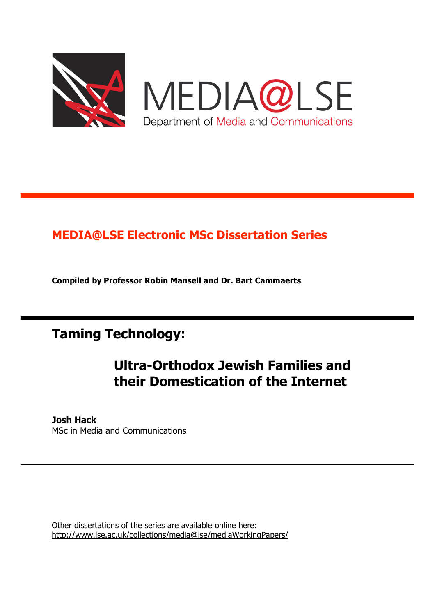

MEDIA@LSE Department of Media and Communications

## **MEDIA@LSE Electronic MSc Dissertation Series**

**Compiled by Professor Robin Mansell and Dr. Bart Cammaerts**

**Taming Technology:**

# **Ultra-Orthodox Jewish Families and their Domestication of the Internet**

#### **Josh Hack** MSc in Media and Communications

Other dissertations of the series are available online here: http://www.lse.ac.uk/collections/media@lse/mediaWorkingPapers/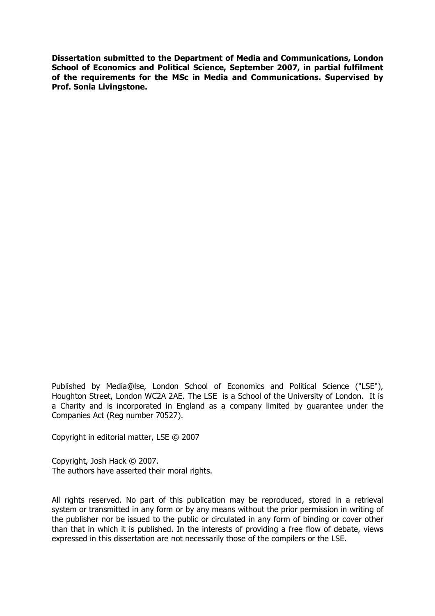**Dissertation submitted to the Department of Media and Communications, London School of Economics and Political Science, September 2007, in partial fulfilment of the requirements for the MSc in Media and Communications. Supervised by Prof. Sonia Livingstone.**

Published by Media@lse, London School of Economics and Political Science ("LSE"), Houghton Street, London WC2A 2AE. The LSE is a School of the University of London. It is a Charity and is incorporated in England as a company limited by guarantee under the Companies Act (Reg number 70527).

Copyright in editorial matter, LSE © 2007

Copyright, Josh Hack © 2007. The authors have asserted their moral rights.

All rights reserved. No part of this publication may be reproduced, stored in a retrieval system or transmitted in any form or by any means without the prior permission in writing of the publisher nor be issued to the public or circulated in any form of binding or cover other than that in which it is published. In the interests of providing a free flow of debate, views expressed in this dissertation are not necessarily those of the compilers or the LSE.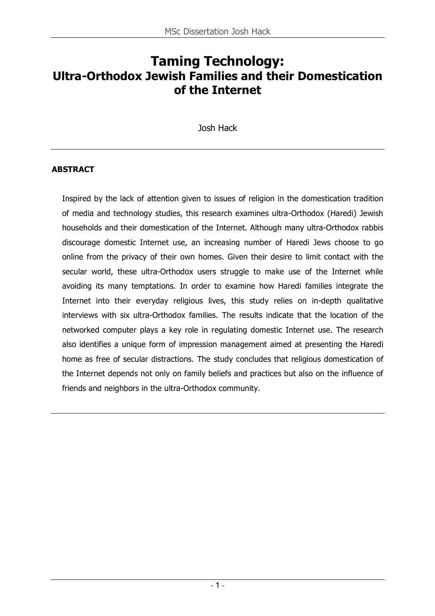## **Taming Technology: Ultra-Orthodox Jewish Families and their Domestication of the Internet**

Josh Hack

## **ABSTRACT**

Inspired by the lack of attention given to issues of religion in the domestication tradition of media and technology studies, this research examines ultra-Orthodox (Haredi) Jewish households and their domestication of the Internet. Although many ultra-Orthodox rabbis discourage domestic Internet use, an increasing number of Haredi Jews choose to go online from the privacy of their own homes. Given their desire to limit contact with the secular world, these ultra-Orthodox users struggle to make use of the Internet while avoiding its many temptations. In order to examine how Haredi families integrate the Internet into their everyday religious lives, this study relies on in-depth qualitative interviews with six ultra-Orthodox families. The results indicate that the location of the networked computer plays a key role in regulating domestic Internet use. The research also identifies a unique form of impression management aimed at presenting the Haredi home as free of secular distractions. The study concludes that religious domestication of the Internet depends not only on family beliefs and practices but also on the influence of friends and neighbors in the ultra-Orthodox community.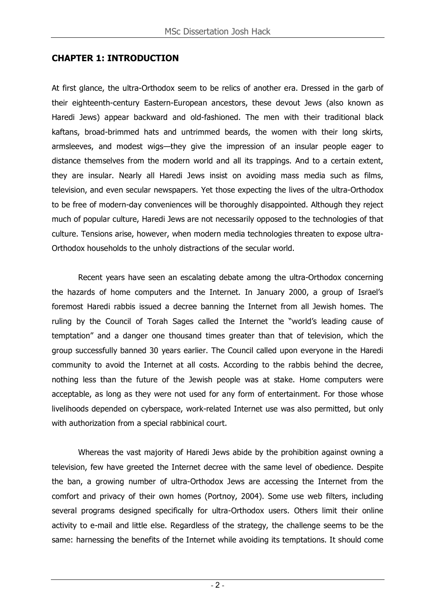## **CHAPTER 1: INTRODUCTION**

At first glance, the ultra-Orthodox seem to be relics of another era. Dressed in the garb of their eighteenth-century Eastern-European ancestors, these devout Jews (also known as Haredi Jews) appear backward and old-fashioned. The men with their traditional black kaftans, broad-brimmed hats and untrimmed beards, the women with their long skirts, armsleeves, and modest wigs—they give the impression of an insular people eager to distance themselves from the modern world and all its trappings. And to a certain extent, they are insular. Nearly all Haredi Jews insist on avoiding mass media such as films, television, and even secular newspapers. Yet those expecting the lives of the ultra-Orthodox to be free of modern-day conveniences will be thoroughly disappointed. Although they reject much of popular culture, Haredi Jews are not necessarily opposed to the technologies of that culture. Tensions arise, however, when modern media technologies threaten to expose ultra-Orthodox households to the unholy distractions of the secular world.

Recent years have seen an escalating debate among the ultra-Orthodox concerning the hazards of home computers and the Internet. In January 2000, a group of Israel's foremost Haredi rabbis issued a decree banning the Internet from all Jewish homes. The ruling by the Council of Torah Sages called the Internet the "world's leading cause of temptation" and a danger one thousand times greater than that of television, which the group successfully banned 30 years earlier. The Council called upon everyone in the Haredi community to avoid the Internet at all costs. According to the rabbis behind the decree, nothing less than the future of the Jewish people was at stake. Home computers were acceptable, as long as they were not used for any form of entertainment. For those whose livelihoods depended on cyberspace, work-related Internet use was also permitted, but only with authorization from a special rabbinical court.

Whereas the vast majority of Haredi Jews abide by the prohibition against owning a television, few have greeted the Internet decree with the same level of obedience. Despite the ban, a growing number of ultra-Orthodox Jews are accessing the Internet from the comfort and privacy of their own homes (Portnoy, 2004). Some use web filters, including several programs designed specifically for ultra-Orthodox users. Others limit their online activity to e-mail and little else. Regardless of the strategy, the challenge seems to be the same: harnessing the benefits of the Internet while avoiding its temptations. It should come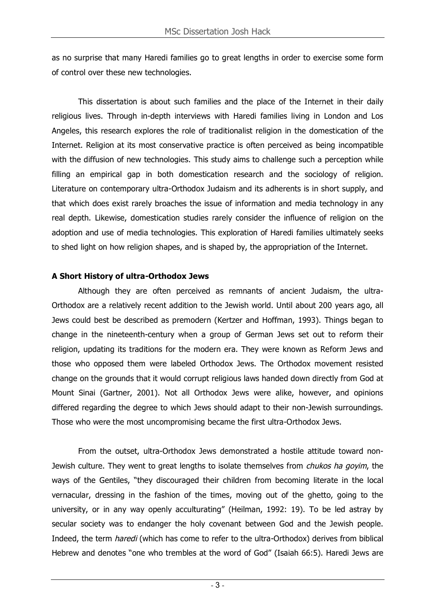as no surprise that many Haredi families go to great lengths in order to exercise some form of control over these new technologies.

This dissertation is about such families and the place of the Internet in their daily religious lives. Through in-depth interviews with Haredi families living in London and Los Angeles, this research explores the role of traditionalist religion in the domestication of the Internet. Religion at its most conservative practice is often perceived as being incompatible with the diffusion of new technologies. This study aims to challenge such a perception while filling an empirical gap in both domestication research and the sociology of religion. Literature on contemporary ultra-Orthodox Judaism and its adherents is in short supply, and that which does exist rarely broaches the issue of information and media technology in any real depth. Likewise, domestication studies rarely consider the influence of religion on the adoption and use of media technologies. This exploration of Haredi families ultimately seeks to shed light on how religion shapes, and is shaped by, the appropriation of the Internet.

## **A Short History of ultra-Orthodox Jews**

Although they are often perceived as remnants of ancient Judaism, the ultra-Orthodox are a relatively recent addition to the Jewish world. Until about 200 years ago, all Jews could best be described as premodern (Kertzer and Hoffman, 1993). Things began to change in the nineteenth-century when a group of German Jews set out to reform their religion, updating its traditions for the modern era. They were known as Reform Jews and those who opposed them were labeled Orthodox Jews. The Orthodox movement resisted change on the grounds that it would corrupt religious laws handed down directly from God at Mount Sinai (Gartner, 2001). Not all Orthodox Jews were alike, however, and opinions differed regarding the degree to which Jews should adapt to their non-Jewish surroundings. Those who were the most uncompromising became the first ultra-Orthodox Jews.

From the outset, ultra-Orthodox Jews demonstrated a hostile attitude toward non-Jewish culture. They went to great lengths to isolate themselves from *chukos ha goyim*, the ways of the Gentiles, "they discouraged their children from becoming literate in the local vernacular, dressing in the fashion of the times, moving out of the ghetto, going to the university, or in any way openly acculturating" (Heilman, 1992: 19). To be led astray by secular society was to endanger the holy covenant between God and the Jewish people. Indeed, the term haredi (which has come to refer to the ultra-Orthodox) derives from biblical Hebrew and denotes "one who trembles at the word of God" (Isaiah 66:5). Haredi Jews are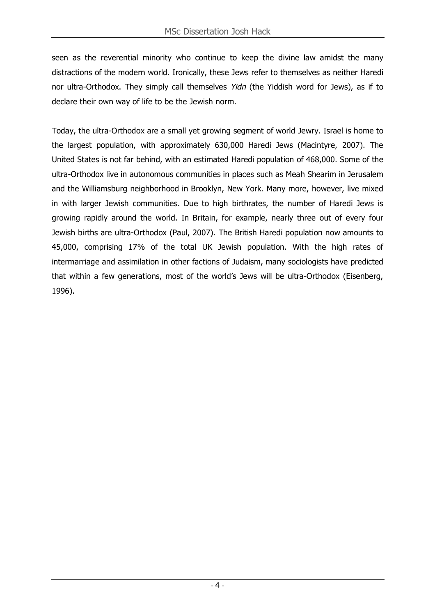seen as the reverential minority who continue to keep the divine law amidst the many distractions of the modern world. Ironically, these Jews refer to themselves as neither Haredi nor ultra-Orthodox. They simply call themselves Yidn (the Yiddish word for Jews), as if to declare their own way of life to be the Jewish norm.

Today, the ultra-Orthodox are a small yet growing segment of world Jewry. Israel is home to the largest population, with approximately 630,000 Haredi Jews (Macintyre, 2007). The United States is not far behind, with an estimated Haredi population of 468,000. Some of the ultra-Orthodox live in autonomous communities in places such as Meah Shearim in Jerusalem and the Williamsburg neighborhood in Brooklyn, New York. Many more, however, live mixed in with larger Jewish communities. Due to high birthrates, the number of Haredi Jews is growing rapidly around the world. In Britain, for example, nearly three out of every four Jewish births are ultra-Orthodox (Paul, 2007). The British Haredi population now amounts to 45,000, comprising 17% of the total UK Jewish population. With the high rates of intermarriage and assimilation in other factions of Judaism, many sociologists have predicted that within a few generations, most of the world's Jews will be ultra-Orthodox (Eisenberg, 1996).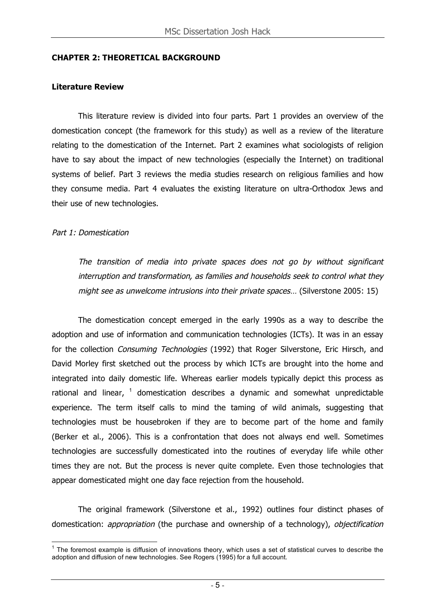#### **CHAPTER 2: THEORETICAL BACKGROUND**

#### **Literature Review**

This literature review is divided into four parts. Part 1 provides an overview of the domestication concept (the framework for this study) as well as a review of the literature relating to the domestication of the Internet. Part 2 examines what sociologists of religion have to say about the impact of new technologies (especially the Internet) on traditional systems of belief. Part 3 reviews the media studies research on religious families and how they consume media. Part 4 evaluates the existing literature on ultra-Orthodox Jews and their use of new technologies.

#### Part 1: Domestication

The transition of media into private spaces does not go by without significant interruption and transformation, as families and households seek to control what they might see as unwelcome intrusions into their private spaces... (Silverstone 2005: 15)

The domestication concept emerged in the early 1990s as a way to describe the adoption and use of information and communication technologies (ICTs). It was in an essay for the collection *Consuming Technologies* (1992) that Roger Silverstone, Eric Hirsch, and David Morley first sketched out the process by which ICTs are brought into the home and integrated into daily domestic life. Whereas earlier models typically depict this process as rational and linear,  $1$  domestication describes a dynamic and somewhat unpredictable experience. The term itself calls to mind the taming of wild animals, suggesting that technologies must be housebroken if they are to become part of the home and family (Berker et al., 2006). This is a confrontation that does not always end well. Sometimes technologies are successfully domesticated into the routines of everyday life while other times they are not. But the process is never quite complete. Even those technologies that appear domesticated might one day face rejection from the household.

The original framework (Silverstone et al., 1992) outlines four distinct phases of domestication: *appropriation* (the purchase and ownership of a technology), *objectification* 

 $1$  The foremost example is diffusion of innovations theory, which uses a set of statistical curves to describe the adoption and diffusion of new technologies. See Rogers (1995) for a full account.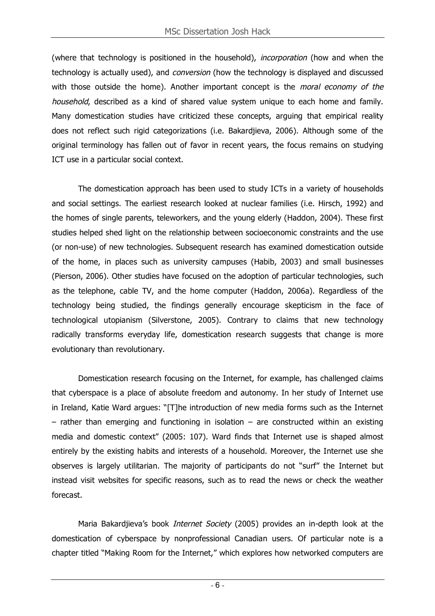(where that technology is positioned in the household), *incorporation* (how and when the technology is actually used), and *conversion* (how the technology is displayed and discussed with those outside the home). Another important concept is the *moral economy of the* household, described as a kind of shared value system unique to each home and family. Many domestication studies have criticized these concepts, arguing that empirical reality does not reflect such rigid categorizations (i.e. Bakardjieva, 2006). Although some of the original terminology has fallen out of favor in recent years, the focus remains on studying ICT use in a particular social context.

The domestication approach has been used to study ICTs in a variety of households and social settings. The earliest research looked at nuclear families (i.e. Hirsch, 1992) and the homes of single parents, teleworkers, and the young elderly (Haddon, 2004). These first studies helped shed light on the relationship between socioeconomic constraints and the use (or non-use) of new technologies. Subsequent research has examined domestication outside of the home, in places such as university campuses (Habib, 2003) and small businesses (Pierson, 2006). Other studies have focused on the adoption of particular technologies, such as the telephone, cable TV, and the home computer (Haddon, 2006a). Regardless of the technology being studied, the findings generally encourage skepticism in the face of technological utopianism (Silverstone, 2005). Contrary to claims that new technology radically transforms everyday life, domestication research suggests that change is more evolutionary than revolutionary.

Domestication research focusing on the Internet, for example, has challenged claims that cyberspace is a place of absolute freedom and autonomy. In her study of Internet use in Ireland, Katie Ward argues: "[T]he introduction of new media forms such as the Internet  $-$  rather than emerging and functioning in isolation  $-$  are constructed within an existing media and domestic context" (2005: 107). Ward finds that Internet use is shaped almost entirely by the existing habits and interests of a household. Moreover, the Internet use she observes is largely utilitarian. The majority of participants do not "surf" the Internet but instead visit websites for specific reasons, such as to read the news or check the weather forecast.

Maria Bakardjieva's book *Internet Society* (2005) provides an in-depth look at the domestication of cyberspace by nonprofessional Canadian users. Of particular note is a chapter titled "Making Room for the Internet," which explores how networked computers are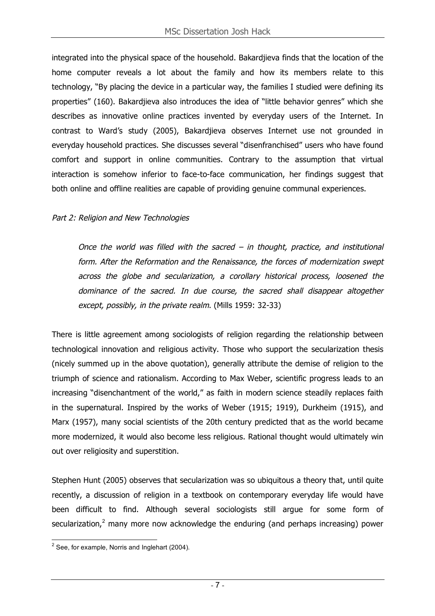integrated into the physical space of the household. Bakardjieva finds that the location of the home computer reveals a lot about the family and how its members relate to this technology, "By placing the device in a particular way, the families I studied were defining its properties" (160). Bakardjieva also introduces the idea of "little behavior genres" which she describes as innovative online practices invented by everyday users of the Internet. In contrast to Ward's study (2005), Bakardjieva observes Internet use not grounded in everyday household practices. She discusses several "disenfranchised" users who have found comfort and support in online communities. Contrary to the assumption that virtual interaction is somehow inferior to face-to-face communication, her findings suggest that both online and offline realities are capable of providing genuine communal experiences.

## Part 2: Religion and New Technologies

Once the world was filled with the sacred  $-$  in thought, practice, and institutional form. After the Reformation and the Renaissance, the forces of modernization swept across the globe and secularization, <sup>a</sup> corollary historical process, loosened the dominance of the sacred. In due course, the sacred shall disappear altogether except, possibly, in the private realm. (Mills 1959: 32-33)

There is little agreement among sociologists of religion regarding the relationship between technological innovation and religious activity. Those who support the secularization thesis (nicely summed up in the above quotation), generally attribute the demise of religion to the triumph of science and rationalism. According to Max Weber, scientific progress leads to an increasing "disenchantment of the world," as faith in modern science steadily replaces faith in the supernatural. Inspired by the works of Weber (1915; 1919), Durkheim (1915), and Marx (1957), many social scientists of the 20th century predicted that as the world became more modernized, it would also become less religious. Rational thought would ultimately win out over religiosity and superstition.

Stephen Hunt (2005) observes that secularization was so ubiquitous a theory that, until quite recently, a discussion of religion in a textbook on contemporary everyday life would have been difficult to find. Although several sociologists still argue for some form of secularization,<sup>2</sup> many more now acknowledge the enduring (and perhaps increasing) power

 $2$  See, for example, Norris and Inglehart (2004).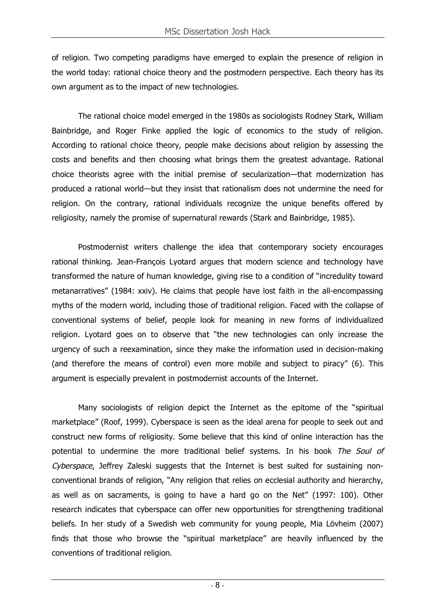of religion. Two competing paradigms have emerged to explain the presence of religion in the world today: rational choice theory and the postmodern perspective. Each theory has its own argument as to the impact of new technologies.

The rational choice model emerged in the 1980s as sociologists Rodney Stark, William Bainbridge, and Roger Finke applied the logic of economics to the study of religion. According to rational choice theory, people make decisions about religion by assessing the costs and benefits and then choosing what brings them the greatest advantage. Rational choice theorists agree with the initial premise of secularization—that modernization has produced a rational world—but they insist that rationalism does not undermine the need for religion. On the contrary, rational individuals recognize the unique benefits offered by religiosity, namely the promise of supernatural rewards (Stark and Bainbridge, 1985).

Postmodernist writers challenge the idea that contemporary society encourages rational thinking. Jean-François Lyotard argues that modern science and technology have transformed the nature of human knowledge, giving rise to a condition of "incredulity toward metanarratives" (1984: xxiv). He claims that people have lost faith in the all-encompassing myths of the modern world, including those of traditional religion. Faced with the collapse of conventional systems of belief, people look for meaning in new forms of individualized religion. Lyotard goes on to observe that "the new technologies can only increase the urgency of such a reexamination, since they make the information used in decision-making (and therefore the means of control) even more mobile and subject to piracy" (6). This argument is especially prevalent in postmodernist accounts of the Internet.

Many sociologists of religion depict the Internet as the epitome of the "spiritual marketplace" (Roof, 1999). Cyberspace is seen as the ideal arena for people to seek out and construct new forms of religiosity. Some believe that this kind of online interaction has the potential to undermine the more traditional belief systems. In his book The Soul of Cyberspace, Jeffrey Zaleski suggests that the Internet is best suited for sustaining nonconventional brands of religion, "Any religion that relies on ecclesial authority and hierarchy, as well as on sacraments, is going to have a hard go on the Net" (1997: 100). Other research indicates that cyberspace can offer new opportunities for strengthening traditional beliefs. In her study of a Swedish web community for young people, Mia Lövheim (2007) finds that those who browse the "spiritual marketplace" are heavily influenced by the conventions of traditional religion.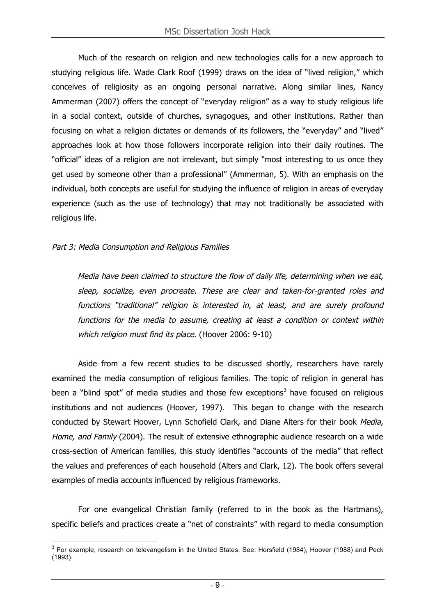Much of the research on religion and new technologies calls for a new approach to studying religious life. Wade Clark Roof (1999) draws on the idea of "lived religion," which conceives of religiosity as an ongoing personal narrative. Along similar lines, Nancy Ammerman (2007) offers the concept of "everyday religion" as a way to study religious life in a social context, outside of churches, synagogues, and other institutions. Rather than focusing on what a religion dictates or demands of its followers, the "everyday" and "lived" approaches look at how those followers incorporate religion into their daily routines. The "official" ideas of a religion are not irrelevant, but simply "most interesting to us once they get used by someone other than a professional" (Ammerman, 5). With an emphasis on the individual, both concepts are useful for studying the influence of religion in areas of everyday experience (such as the use of technology) that may not traditionally be associated with religious life.

#### Part 3: Media Consumption and Religious Families

Media have been claimed to structure the flow of daily life, determining when we eat, sleep, socialize, even procreate. These are clear and taken-for-granted roles and functions "traditional" religion is interested in, at least, and are surely profound functions for the media to assume, creating at least <sup>a</sup> condition or context within which religion must find its place. (Hoover 2006: 9-10)

Aside from a few recent studies to be discussed shortly, researchers have rarely examined the media consumption of religious families. The topic of religion in general has been a "blind spot" of media studies and those few exceptions<sup>3</sup> have focused on religious institutions and not audiences (Hoover, 1997). This began to change with the research conducted by Stewart Hoover, Lynn Schofield Clark, and Diane Alters for their book Media, Home, and Family (2004). The result of extensive ethnographic audience research on a wide cross-section of American families, this study identifies "accounts of the media" that reflect the values and preferences of each household (Alters and Clark, 12). The book offers several examples of media accounts influenced by religious frameworks.

For one evangelical Christian family (referred to in the book as the Hartmans), specific beliefs and practices create a "net of constraints" with regard to media consumption

 $3$  For example, research on televangelism in the United States. See: Horsfield (1984), Hoover (1988) and Peck (1993).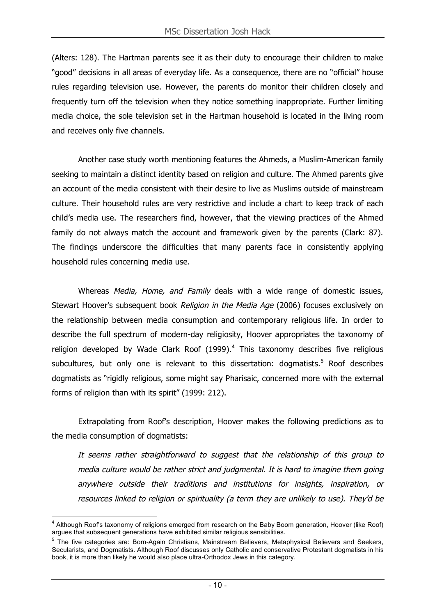(Alters: 128). The Hartman parents see it as their duty to encourage their children to make "good" decisions in all areas of everyday life. As a consequence, there are no "official" house rules regarding television use. However, the parents do monitor their children closely and frequently turn off the television when they notice something inappropriate. Further limiting media choice, the sole television set in the Hartman household is located in the living room and receives only five channels.

Another case study worth mentioning features the Ahmeds, a Muslim-American family seeking to maintain a distinct identity based on religion and culture. The Ahmed parents give an account of the media consistent with their desire to live as Muslims outside of mainstream culture. Their household rules are very restrictive and include a chart to keep track of each child's media use. The researchers find, however, that the viewing practices of the Ahmed family do not always match the account and framework given by the parents (Clark: 87). The findings underscore the difficulties that many parents face in consistently applying household rules concerning media use.

Whereas Media, Home, and Family deals with a wide range of domestic issues, Stewart Hoover's subsequent book Religion in the Media Age (2006) focuses exclusively on the relationship between media consumption and contemporary religious life. In order to describe the full spectrum of modern-day religiosity, Hoover appropriates the taxonomy of religion developed by Wade Clark Roof (1999).<sup>4</sup> This taxonomy describes five religious subcultures, but only one is relevant to this dissertation: dogmatists.<sup>5</sup> Roof describes dogmatists as "rigidly religious, some might say Pharisaic, concerned more with the external forms of religion than with its spirit" (1999: 212).

Extrapolating from Roof's description, Hoover makes the following predictions as to the media consumption of dogmatists:

It seems rather straightforward to suggest that the relationship of this group to media culture would be rather strict and judgmental. It is hard to imagine them going anywhere outside their traditions and institutions for insights, inspiration, or resources linked to religion or spirituality (a term they are unlikely to use). They'd be

<sup>&</sup>lt;sup>4</sup> Although Roof's taxonomy of religions emerged from research on the Baby Boom generation, Hoover (like Roof) argues that subsequent generations have exhibited similar religious sensibilities.

<sup>5</sup> The five categories are: Born-Again Christians, Mainstream Believers, Metaphysical Believers and Seekers, Secularists, and Dogmatists. Although Roof discusses only Catholic and conservative Protestant dogmatists in his book, it is more than likely he would also place ultra-Orthodox Jews in this category.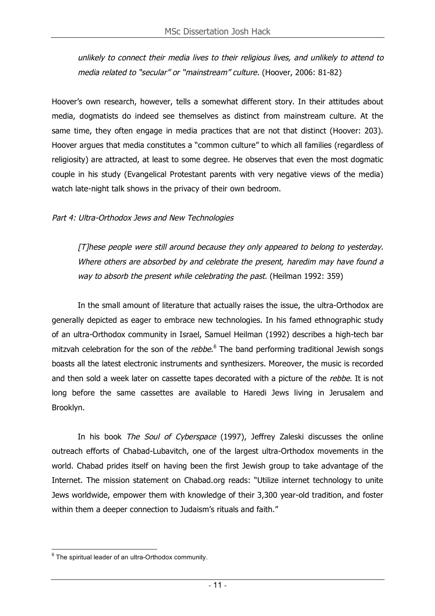unlikely to connect their media lives to their religious lives, and unlikely to attend to media related to "secular" or "mainstream" culture. (Hoover, 2006: 81-82)

Hoover's own research, however, tells a somewhat different story. In their attitudes about media, dogmatists do indeed see themselves as distinct from mainstream culture. At the same time, they often engage in media practices that are not that distinct (Hoover: 203). Hoover argues that media constitutes a "common culture" to which all families (regardless of religiosity) are attracted, at least to some degree. He observes that even the most dogmatic couple in his study (Evangelical Protestant parents with very negative views of the media) watch late-night talk shows in the privacy of their own bedroom.

Part 4: Ultra-Orthodox Jews and New Technologies

[T]hese people were still around because they only appeared to belong to yesterday. Where others are absorbed by and celebrate the present, haredim may have found a way to absorb the present while celebrating the past. (Heilman 1992: 359)

In the small amount of literature that actually raises the issue, the ultra-Orthodox are generally depicted as eager to embrace new technologies. In his famed ethnographic study of an ultra-Orthodox community in Israel, Samuel Heilman (1992) describes a high-tech bar mitzvah celebration for the son of the *rebbe*.<sup>6</sup> The band performing traditional Jewish songs boasts all the latest electronic instruments and synthesizers. Moreover, the music is recorded and then sold a week later on cassette tapes decorated with a picture of the rebbe. It is not long before the same cassettes are available to Haredi Jews living in Jerusalem and Brooklyn.

In his book *The Soul of Cyberspace* (1997), Jeffrey Zaleski discusses the online outreach efforts of Chabad-Lubavitch, one of the largest ultra-Orthodox movements in the world. Chabad prides itself on having been the first Jewish group to take advantage of the Internet. The mission statement on Chabad.org reads: "Utilize internet technology to unite Jews worldwide, empower them with knowledge of their 3,300 year-old tradition, and foster within them a deeper connection to Judaism's rituals and faith."

 $6$  The spiritual leader of an ultra-Orthodox community.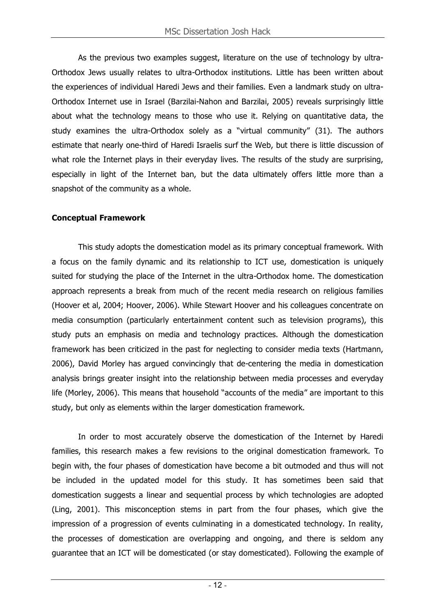As the previous two examples suggest, literature on the use of technology by ultra-Orthodox Jews usually relates to ultra-Orthodox institutions. Little has been written about the experiences of individual Haredi Jews and their families. Even a landmark study on ultra-Orthodox Internet use in Israel (Barzilai-Nahon and Barzilai, 2005) reveals surprisingly little about what the technology means to those who use it. Relying on quantitative data, the study examines the ultra-Orthodox solely as a "virtual community" (31). The authors estimate that nearly one-third of Haredi Israelis surf the Web, but there is little discussion of what role the Internet plays in their everyday lives. The results of the study are surprising, especially in light of the Internet ban, but the data ultimately offers little more than a snapshot of the community as a whole.

## **Conceptual Framework**

This study adopts the domestication model as its primary conceptual framework. With a focus on the family dynamic and its relationship to ICT use, domestication is uniquely suited for studying the place of the Internet in the ultra-Orthodox home. The domestication approach represents a break from much of the recent media research on religious families (Hoover et al, 2004; Hoover, 2006). While Stewart Hoover and his colleagues concentrate on media consumption (particularly entertainment content such as television programs), this study puts an emphasis on media and technology practices. Although the domestication framework has been criticized in the past for neglecting to consider media texts (Hartmann, 2006), David Morley has argued convincingly that de-centering the media in domestication analysis brings greater insight into the relationship between media processes and everyday life (Morley, 2006). This means that household "accounts of the media" are important to this study, but only as elements within the larger domestication framework.

In order to most accurately observe the domestication of the Internet by Haredi families, this research makes a few revisions to the original domestication framework. To begin with, the four phases of domestication have become a bit outmoded and thus will not be included in the updated model for this study. It has sometimes been said that domestication suggests a linear and sequential process by which technologies are adopted (Ling, 2001). This misconception stems in part from the four phases, which give the impression of a progression of events culminating in a domesticated technology. In reality, the processes of domestication are overlapping and ongoing, and there is seldom any guarantee that an ICT will be domesticated (or stay domesticated). Following the example of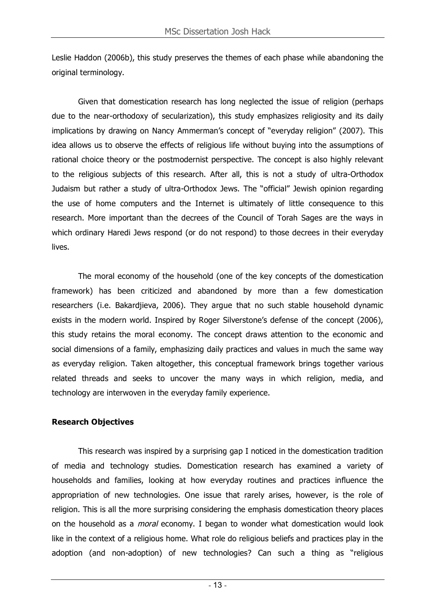Leslie Haddon (2006b), this study preserves the themes of each phase while abandoning the original terminology.

Given that domestication research has long neglected the issue of religion (perhaps due to the near-orthodoxy of secularization), this study emphasizes religiosity and its daily implications by drawing on Nancy Ammerman's concept of "everyday religion" (2007). This idea allows us to observe the effects of religious life without buying into the assumptions of rational choice theory or the postmodernist perspective. The concept is also highly relevant to the religious subjects of this research. After all, this is not a study of ultra-Orthodox Judaism but rather a study of ultra-Orthodox Jews. The "official" Jewish opinion regarding the use of home computers and the Internet is ultimately of little consequence to this research. More important than the decrees of the Council of Torah Sages are the ways in which ordinary Haredi Jews respond (or do not respond) to those decrees in their everyday lives.

The moral economy of the household (one of the key concepts of the domestication framework) has been criticized and abandoned by more than a few domestication researchers (i.e. Bakardjieva, 2006). They argue that no such stable household dynamic exists in the modern world. Inspired by Roger Silverstone's defense of the concept (2006), this study retains the moral economy. The concept draws attention to the economic and social dimensions of a family, emphasizing daily practices and values in much the same way as everyday religion. Taken altogether, this conceptual framework brings together various related threads and seeks to uncover the many ways in which religion, media, and technology are interwoven in the everyday family experience.

## **Research Objectives**

This research was inspired by a surprising gap I noticed in the domestication tradition of media and technology studies. Domestication research has examined a variety of households and families, looking at how everyday routines and practices influence the appropriation of new technologies. One issue that rarely arises, however, is the role of religion. This is all the more surprising considering the emphasis domestication theory places on the household as a moral economy. I began to wonder what domestication would look like in the context of a religious home. What role do religious beliefs and practices play in the adoption (and non-adoption) of new technologies? Can such a thing as "religious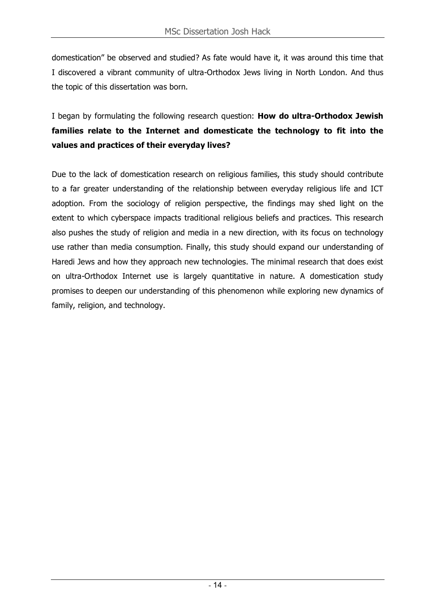domestication" be observed and studied? As fate would have it, it was around this time that I discovered a vibrant community of ultra-Orthodox Jews living in North London. And thus the topic of this dissertation was born.

I began by formulating the following research question: **How do ultra-Orthodox Jewish families relate to the Internet and domesticate the technology to fit into the values and practices of their everyday lives?**

Due to the lack of domestication research on religious families, this study should contribute to a far greater understanding of the relationship between everyday religious life and ICT adoption. From the sociology of religion perspective, the findings may shed light on the extent to which cyberspace impacts traditional religious beliefs and practices. This research also pushes the study of religion and media in a new direction, with its focus on technology use rather than media consumption. Finally, this study should expand our understanding of Haredi Jews and how they approach new technologies. The minimal research that does exist on ultra-Orthodox Internet use is largely quantitative in nature. A domestication study promises to deepen our understanding of this phenomenon while exploring new dynamics of family, religion, and technology.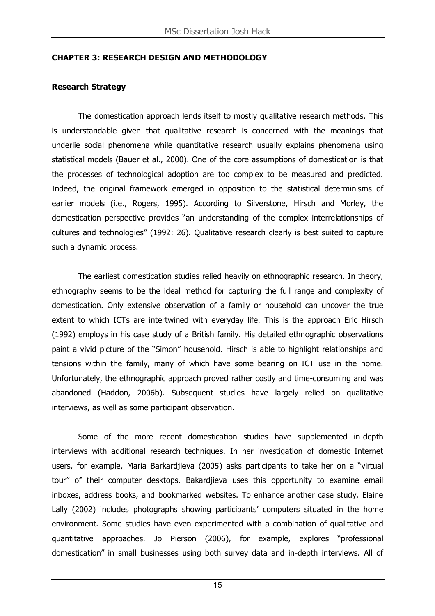#### **CHAPTER 3: RESEARCH DESIGN AND METHODOLOGY**

#### **Research Strategy**

The domestication approach lends itself to mostly qualitative research methods. This is understandable given that qualitative research is concerned with the meanings that underlie social phenomena while quantitative research usually explains phenomena using statistical models (Bauer et al., 2000). One of the core assumptions of domestication is that the processes of technological adoption are too complex to be measured and predicted. Indeed, the original framework emerged in opposition to the statistical determinisms of earlier models (i.e., Rogers, 1995). According to Silverstone, Hirsch and Morley, the domestication perspective provides "an understanding of the complex interrelationships of cultures and technologies" (1992: 26). Qualitative research clearly is best suited to capture such a dynamic process.

The earliest domestication studies relied heavily on ethnographic research. In theory, ethnography seems to be the ideal method for capturing the full range and complexity of domestication. Only extensive observation of a family or household can uncover the true extent to which ICTs are intertwined with everyday life. This is the approach Eric Hirsch (1992) employs in his case study of a British family. His detailed ethnographic observations paint a vivid picture of the "Simon" household. Hirsch is able to highlight relationships and tensions within the family, many of which have some bearing on ICT use in the home. Unfortunately, the ethnographic approach proved rather costly and time-consuming and was abandoned (Haddon, 2006b). Subsequent studies have largely relied on qualitative interviews, as well as some participant observation.

Some of the more recent domestication studies have supplemented in-depth interviews with additional research techniques. In her investigation of domestic Internet users, for example, Maria Barkardjieva (2005) asks participants to take her on a "virtual tour" of their computer desktops. Bakardjieva uses this opportunity to examine email inboxes, address books, and bookmarked websites. To enhance another case study, Elaine Lally (2002) includes photographs showing participants' computers situated in the home environment. Some studies have even experimented with a combination of qualitative and quantitative approaches. Jo Pierson (2006), for example, explores "professional domestication" in small businesses using both survey data and in-depth interviews. All of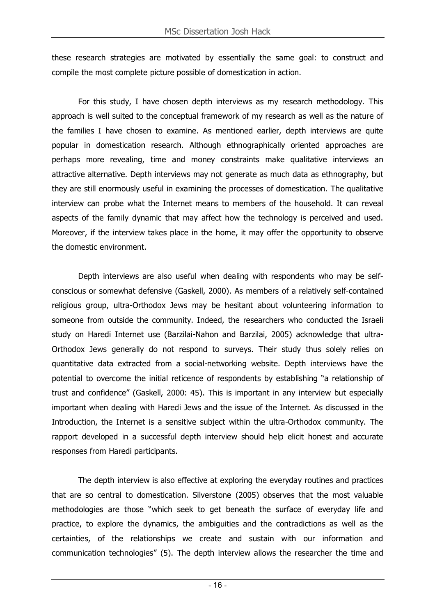these research strategies are motivated by essentially the same goal: to construct and compile the most complete picture possible of domestication in action.

For this study, I have chosen depth interviews as my research methodology. This approach is well suited to the conceptual framework of my research as well as the nature of the families I have chosen to examine. As mentioned earlier, depth interviews are quite popular in domestication research. Although ethnographically oriented approaches are perhaps more revealing, time and money constraints make qualitative interviews an attractive alternative. Depth interviews may not generate as much data as ethnography, but they are still enormously useful in examining the processes of domestication. The qualitative interview can probe what the Internet means to members of the household. It can reveal aspects of the family dynamic that may affect how the technology is perceived and used. Moreover, if the interview takes place in the home, it may offer the opportunity to observe the domestic environment.

Depth interviews are also useful when dealing with respondents who may be selfconscious or somewhat defensive (Gaskell, 2000). As members of a relatively self-contained religious group, ultra-Orthodox Jews may be hesitant about volunteering information to someone from outside the community. Indeed, the researchers who conducted the Israeli study on Haredi Internet use (Barzilai-Nahon and Barzilai, 2005) acknowledge that ultra-Orthodox Jews generally do not respond to surveys. Their study thus solely relies on quantitative data extracted from a social-networking website. Depth interviews have the potential to overcome the initial reticence of respondents by establishing "a relationship of trust and confidence" (Gaskell, 2000: 45). This is important in any interview but especially important when dealing with Haredi Jews and the issue of the Internet. As discussed in the Introduction, the Internet is a sensitive subject within the ultra-Orthodox community. The rapport developed in a successful depth interview should help elicit honest and accurate responses from Haredi participants.

The depth interview is also effective at exploring the everyday routines and practices that are so central to domestication. Silverstone (2005) observes that the most valuable methodologies are those "which seek to get beneath the surface of everyday life and practice, to explore the dynamics, the ambiguities and the contradictions as well as the certainties, of the relationships we create and sustain with our information and communication technologies" (5). The depth interview allows the researcher the time and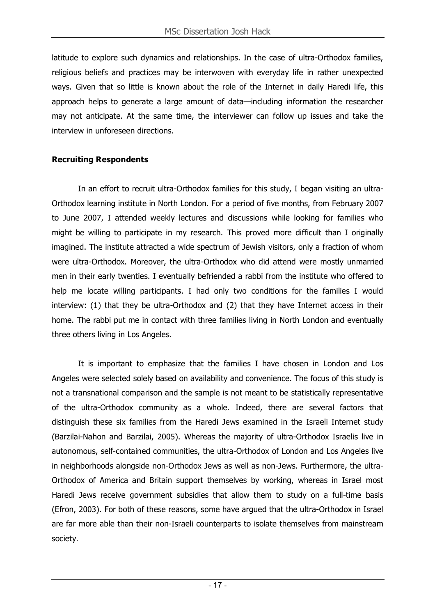latitude to explore such dynamics and relationships. In the case of ultra-Orthodox families, religious beliefs and practices may be interwoven with everyday life in rather unexpected ways. Given that so little is known about the role of the Internet in daily Haredi life, this approach helps to generate a large amount of data—including information the researcher may not anticipate. At the same time, the interviewer can follow up issues and take the interview in unforeseen directions.

## **Recruiting Respondents**

In an effort to recruit ultra-Orthodox families for this study, I began visiting an ultra-Orthodox learning institute in North London. For a period of five months, from February 2007 to June 2007, I attended weekly lectures and discussions while looking for families who might be willing to participate in my research. This proved more difficult than I originally imagined. The institute attracted a wide spectrum of Jewish visitors, only a fraction of whom were ultra-Orthodox. Moreover, the ultra-Orthodox who did attend were mostly unmarried men in their early twenties. I eventually befriended a rabbi from the institute who offered to help me locate willing participants. I had only two conditions for the families I would interview: (1) that they be ultra-Orthodox and (2) that they have Internet access in their home. The rabbi put me in contact with three families living in North London and eventually three others living in Los Angeles.

It is important to emphasize that the families I have chosen in London and Los Angeles were selected solely based on availability and convenience. The focus of this study is not a transnational comparison and the sample is not meant to be statistically representative of the ultra-Orthodox community as a whole. Indeed, there are several factors that distinguish these six families from the Haredi Jews examined in the Israeli Internet study (Barzilai-Nahon and Barzilai, 2005). Whereas the majority of ultra-Orthodox Israelis live in autonomous, self-contained communities, the ultra-Orthodox of London and Los Angeles live in neighborhoods alongside non-Orthodox Jews as well as non-Jews. Furthermore, the ultra-Orthodox of America and Britain support themselves by working, whereas in Israel most Haredi Jews receive government subsidies that allow them to study on a full-time basis (Efron, 2003). For both of these reasons, some have argued that the ultra-Orthodox in Israel are far more able than their non-Israeli counterparts to isolate themselves from mainstream society.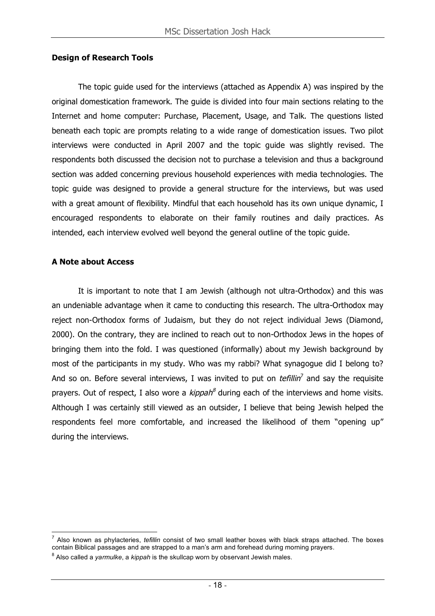#### **Design of Research Tools**

The topic guide used for the interviews (attached as Appendix A) was inspired by the original domestication framework. The guide is divided into four main sections relating to the Internet and home computer: Purchase, Placement, Usage, and Talk. The questions listed beneath each topic are prompts relating to a wide range of domestication issues. Two pilot interviews were conducted in April 2007 and the topic guide was slightly revised. The respondents both discussed the decision not to purchase a television and thus a background section was added concerning previous household experiences with media technologies. The topic guide was designed to provide a general structure for the interviews, but was used with a great amount of flexibility. Mindful that each household has its own unique dynamic, I encouraged respondents to elaborate on their family routines and daily practices. As intended, each interview evolved well beyond the general outline of the topic guide.

#### **A Note about Access**

It is important to note that I am Jewish (although not ultra-Orthodox) and this was an undeniable advantage when it came to conducting this research. The ultra-Orthodox may reject non-Orthodox forms of Judaism, but they do not reject individual Jews (Diamond, 2000). On the contrary, they are inclined to reach out to non-Orthodox Jews in the hopes of bringing them into the fold. I was questioned (informally) about my Jewish background by most of the participants in my study. Who was my rabbi? What synagogue did I belong to? And so on. Before several interviews, I was invited to put on *tefillin*<sup>7</sup> and say the requisite prayers. Out of respect, I also wore a *kippah<sup>8</sup>* during each of the interviews and home visits. Although I was certainly still viewed as an outsider, I believe that being Jewish helped the respondents feel more comfortable, and increased the likelihood of them "opening up" during the interviews.

<sup>7</sup> Also known as phylacteries, *tefillin* consist of two small leather boxes with black straps attached. The boxes contain Biblical passages and are strapped to a man's arm and forehead during morning prayers.

<sup>8</sup> Also called a *yarmulke*, a *kippah* is the skullcap worn by observant Jewish males.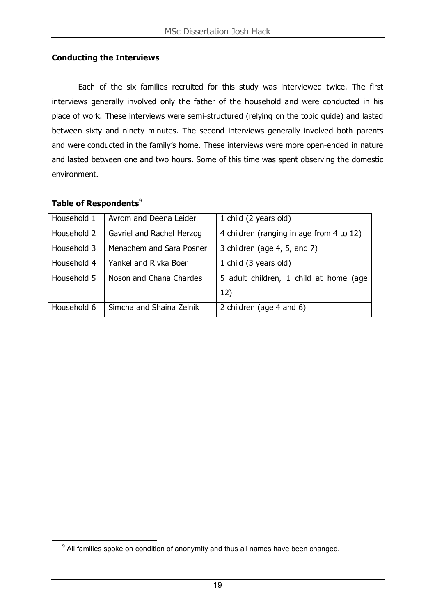#### **Conducting the Interviews**

Each of the six families recruited for this study was interviewed twice. The first interviews generally involved only the father of the household and were conducted in his place of work. These interviews were semi-structured (relying on the topic guide) and lasted between sixty and ninety minutes. The second interviews generally involved both parents and were conducted in the family's home. These interviews were more open-ended in nature and lasted between one and two hours. Some of this time was spent observing the domestic environment.

## **Table of Respondents**<sup>9</sup>

| Household 1 | Avrom and Deena Leider    | 1 child (2 years old)                    |
|-------------|---------------------------|------------------------------------------|
| Household 2 | Gavriel and Rachel Herzog | 4 children (ranging in age from 4 to 12) |
| Household 3 | Menachem and Sara Posner  | 3 children (age 4, 5, and 7)             |
| Household 4 | Yankel and Rivka Boer     | 1 child (3 years old)                    |
| Household 5 | Noson and Chana Chardes   | 5 adult children, 1 child at home (age   |
|             |                           | 12)                                      |
| Household 6 | Simcha and Shaina Zelnik  | 2 children (age 4 and 6)                 |

 $9$  All families spoke on condition of anonymity and thus all names have been changed.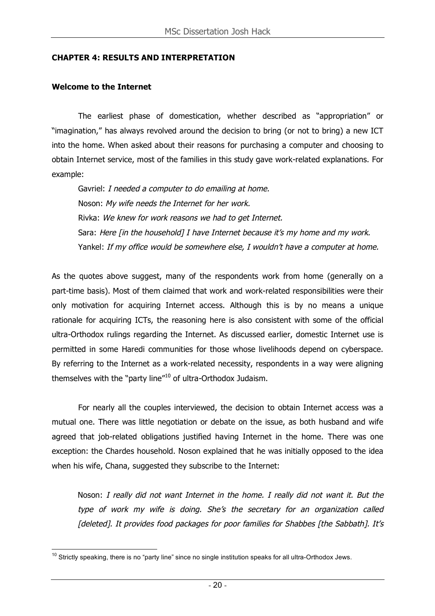#### **CHAPTER 4: RESULTS AND INTERPRETATION**

#### **Welcome to the Internet**

The earliest phase of domestication, whether described as "appropriation" or "imagination," has always revolved around the decision to bring (or not to bring) a new ICT into the home. When asked about their reasons for purchasing a computer and choosing to obtain Internet service, most of the families in this study gave work-related explanations. For example:

Gavriel: I needed <sup>a</sup> computer to do emailing at home. Noson: My wife needs the Internet for her work. Rivka: We knew for work reasons we had to get Internet. Sara: Here [in the household] I have Internet because it's my home and my work. Yankel: If my office would be somewhere else, I wouldn't have a computer at home.

As the quotes above suggest, many of the respondents work from home (generally on a part-time basis). Most of them claimed that work and work-related responsibilities were their only motivation for acquiring Internet access. Although this is by no means a unique rationale for acquiring ICTs, the reasoning here is also consistent with some of the official ultra-Orthodox rulings regarding the Internet. As discussed earlier, domestic Internet use is permitted in some Haredi communities for those whose livelihoods depend on cyberspace. By referring to the Internet as a work-related necessity, respondents in a way were aligning themselves with the "party line"<sup>10</sup> of ultra-Orthodox Judaism.

For nearly all the couples interviewed, the decision to obtain Internet access was a mutual one. There was little negotiation or debate on the issue, as both husband and wife agreed that job-related obligations justified having Internet in the home. There was one exception: the Chardes household. Noson explained that he was initially opposed to the idea when his wife, Chana, suggested they subscribe to the Internet:

Noson: I really did not want Internet in the home. I really did not want it. But the type of work my wife is doing. She's the secretary for an organization called [deleted]. It provides food packages for poor families for Shabbes [the Sabbath]. It's

 $10$  Strictly speaking, there is no "party line" since no single institution speaks for all ultra-Orthodox Jews.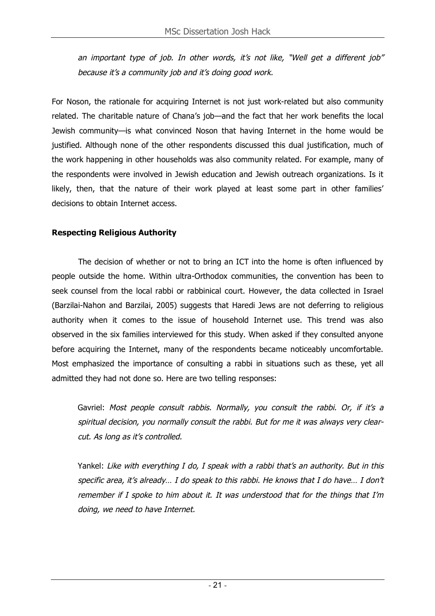an important type of job. In other words, it's not like, "Well get <sup>a</sup> different job" because it's <sup>a</sup> community job and it's doing good work.

For Noson, the rationale for acquiring Internet is not just work-related but also community related. The charitable nature of Chana's job—and the fact that her work benefits the local Jewish community—is what convinced Noson that having Internet in the home would be justified. Although none of the other respondents discussed this dual justification, much of the work happening in other households was also community related. For example, many of the respondents were involved in Jewish education and Jewish outreach organizations. Is it likely, then, that the nature of their work played at least some part in other families' decisions to obtain Internet access.

## **Respecting Religious Authority**

The decision of whether or not to bring an ICT into the home is often influenced by people outside the home. Within ultra-Orthodox communities, the convention has been to seek counsel from the local rabbi or rabbinical court. However, the data collected in Israel (Barzilai-Nahon and Barzilai, 2005) suggests that Haredi Jews are not deferring to religious authority when it comes to the issue of household Internet use. This trend was also observed in the six families interviewed for this study. When asked if they consulted anyone before acquiring the Internet, many of the respondents became noticeably uncomfortable. Most emphasized the importance of consulting a rabbi in situations such as these, yet all admitted they had not done so. Here are two telling responses:

Gavriel: Most people consult rabbis. Normally, you consult the rabbi. Or, if it's a spiritual decision, you normally consult the rabbi. But for me it was always very clearcut. As long as it's controlled.

Yankel: Like with everything I do, I speak with <sup>a</sup> rabbi that's an authority. But in this specific area, it's already... I do speak to this rabbi. He knows that I do have... I don't remember if I spoke to him about it. It was understood that for the things that I'm doing, we need to have Internet.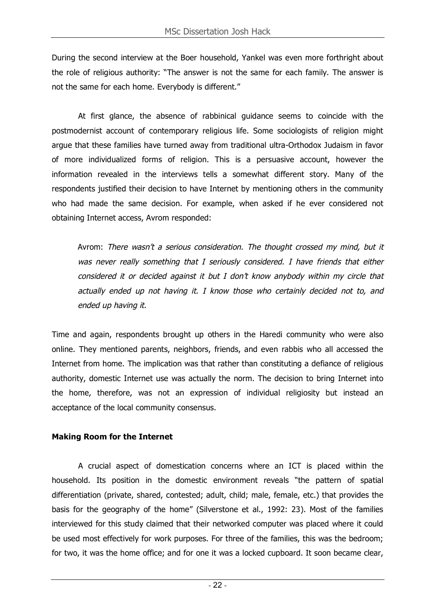During the second interview at the Boer household, Yankel was even more forthright about the role of religious authority: "The answer is not the same for each family. The answer is not the same for each home. Everybody is different."

At first glance, the absence of rabbinical guidance seems to coincide with the postmodernist account of contemporary religious life. Some sociologists of religion might argue that these families have turned away from traditional ultra-Orthodox Judaism in favor of more individualized forms of religion. This is a persuasive account, however the information revealed in the interviews tells a somewhat different story. Many of the respondents justified their decision to have Internet by mentioning others in the community who had made the same decision. For example, when asked if he ever considered not obtaining Internet access, Avrom responded:

Avrom: There wasn't <sup>a</sup> serious consideration. The thought crossed my mind, but it was never really something that I seriously considered. I have friends that either considered it or decided against it but I don't know anybody within my circle that actually ended up not having it. I know those who certainly decided not to, and ended up having it.

Time and again, respondents brought up others in the Haredi community who were also online. They mentioned parents, neighbors, friends, and even rabbis who all accessed the Internet from home. The implication was that rather than constituting a defiance of religious authority, domestic Internet use was actually the norm. The decision to bring Internet into the home, therefore, was not an expression of individual religiosity but instead an acceptance of the local community consensus.

## **Making Room for the Internet**

A crucial aspect of domestication concerns where an ICT is placed within the household. Its position in the domestic environment reveals "the pattern of spatial differentiation (private, shared, contested; adult, child; male, female, etc.) that provides the basis for the geography of the home" (Silverstone et al., 1992: 23). Most of the families interviewed for this study claimed that their networked computer was placed where it could be used most effectively for work purposes. For three of the families, this was the bedroom; for two, it was the home office; and for one it was a locked cupboard. It soon became clear,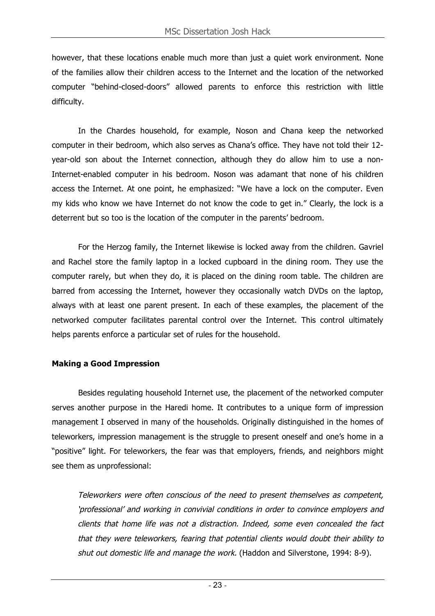however, that these locations enable much more than just a quiet work environment. None of the families allow their children access to the Internet and the location of the networked computer "behind-closed-doors" allowed parents to enforce this restriction with little difficulty.

In the Chardes household, for example, Noson and Chana keep the networked computer in their bedroom, which also serves as Chana's office. They have not told their 12 year-old son about the Internet connection, although they do allow him to use a non-Internet-enabled computer in his bedroom. Noson was adamant that none of his children access the Internet. At one point, he emphasized: "We have a lock on the computer. Even my kids who know we have Internet do not know the code to get in." Clearly, the lock is a deterrent but so too is the location of the computer in the parents' bedroom.

For the Herzog family, the Internet likewise is locked away from the children. Gavriel and Rachel store the family laptop in a locked cupboard in the dining room. They use the computer rarely, but when they do, it is placed on the dining room table. The children are barred from accessing the Internet, however they occasionally watch DVDs on the laptop, always with at least one parent present. In each of these examples, the placement of the networked computer facilitates parental control over the Internet. This control ultimately helps parents enforce a particular set of rules for the household.

## **Making a Good Impression**

Besides regulating household Internet use, the placement of the networked computer serves another purpose in the Haredi home. It contributes to a unique form of impression management I observed in many of the households. Originally distinguished in the homes of teleworkers, impression management is the struggle to present oneself and one's home in a "positive" light. For teleworkers, the fear was that employers, friends, and neighbors might see them as unprofessional:

Teleworkers were often conscious of the need to present themselves as competent, 'professional' and working in convivial conditions in order to convince employers and clients that home life was not <sup>a</sup> distraction. Indeed, some even concealed the fact that they were teleworkers, fearing that potential clients would doubt their ability to shut out domestic life and manage the work. (Haddon and Silverstone, 1994: 8-9).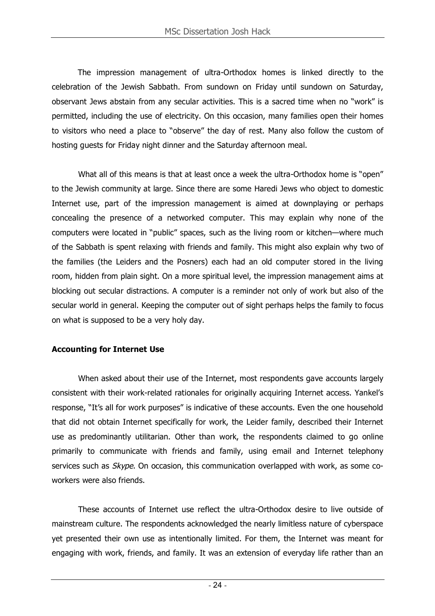The impression management of ultra-Orthodox homes is linked directly to the celebration of the Jewish Sabbath. From sundown on Friday until sundown on Saturday, observant Jews abstain from any secular activities. This is a sacred time when no "work" is permitted, including the use of electricity. On this occasion, many families open their homes to visitors who need a place to "observe" the day of rest. Many also follow the custom of hosting guests for Friday night dinner and the Saturday afternoon meal.

What all of this means is that at least once a week the ultra-Orthodox home is "open" to the Jewish community at large. Since there are some Haredi Jews who object to domestic Internet use, part of the impression management is aimed at downplaying or perhaps concealing the presence of a networked computer. This may explain why none of the computers were located in "public" spaces, such as the living room or kitchen—where much of the Sabbath is spent relaxing with friends and family. This might also explain why two of the families (the Leiders and the Posners) each had an old computer stored in the living room, hidden from plain sight. On a more spiritual level, the impression management aims at blocking out secular distractions. A computer is a reminder not only of work but also of the secular world in general. Keeping the computer out of sight perhaps helps the family to focus on what is supposed to be a very holy day.

## **Accounting for Internet Use**

When asked about their use of the Internet, most respondents gave accounts largely consistent with their work-related rationales for originally acquiring Internet access. Yankel's response, "It's all for work purposes" is indicative of these accounts. Even the one household that did not obtain Internet specifically for work, the Leider family, described their Internet use as predominantly utilitarian. Other than work, the respondents claimed to go online primarily to communicate with friends and family, using email and Internet telephony services such as *Skype*. On occasion, this communication overlapped with work, as some coworkers were also friends.

These accounts of Internet use reflect the ultra-Orthodox desire to live outside of mainstream culture. The respondents acknowledged the nearly limitless nature of cyberspace yet presented their own use as intentionally limited. For them, the Internet was meant for engaging with work, friends, and family. It was an extension of everyday life rather than an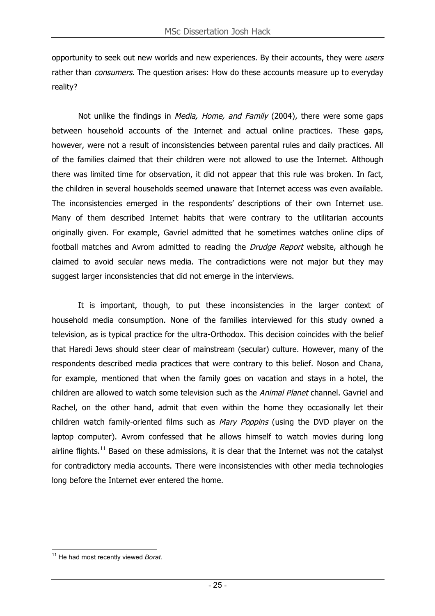opportunity to seek out new worlds and new experiences. By their accounts, they were users rather than *consumers*. The question arises: How do these accounts measure up to everyday reality?

Not unlike the findings in *Media, Home, and Family* (2004), there were some gaps between household accounts of the Internet and actual online practices. These gaps, however, were not a result of inconsistencies between parental rules and daily practices. All of the families claimed that their children were not allowed to use the Internet. Although there was limited time for observation, it did not appear that this rule was broken. In fact, the children in several households seemed unaware that Internet access was even available. The inconsistencies emerged in the respondents' descriptions of their own Internet use. Many of them described Internet habits that were contrary to the utilitarian accounts originally given. For example, Gavriel admitted that he sometimes watches online clips of football matches and Avrom admitted to reading the Drudge Report website, although he claimed to avoid secular news media. The contradictions were not major but they may suggest larger inconsistencies that did not emerge in the interviews.

It is important, though, to put these inconsistencies in the larger context of household media consumption. None of the families interviewed for this study owned a television, as is typical practice for the ultra-Orthodox. This decision coincides with the belief that Haredi Jews should steer clear of mainstream (secular) culture. However, many of the respondents described media practices that were contrary to this belief. Noson and Chana, for example, mentioned that when the family goes on vacation and stays in a hotel, the children are allowed to watch some television such as the Animal Planet channel. Gavriel and Rachel, on the other hand, admit that even within the home they occasionally let their children watch family-oriented films such as Mary Poppins (using the DVD player on the laptop computer). Avrom confessed that he allows himself to watch movies during long airline flights.<sup>11</sup> Based on these admissions, it is clear that the Internet was not the catalyst for contradictory media accounts. There were inconsistencies with other media technologies long before the Internet ever entered the home.

<sup>11</sup> He had most recently viewed *Borat*.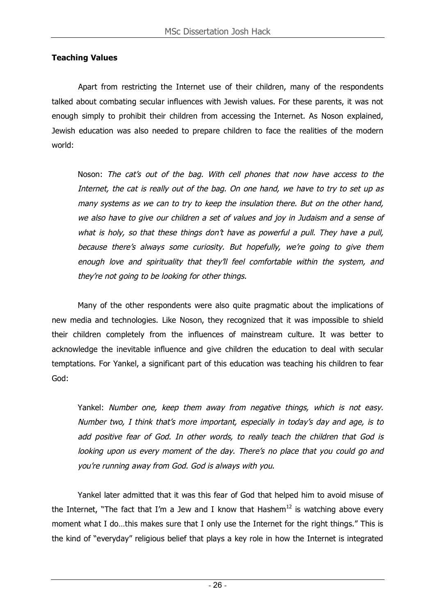## **Teaching Values**

Apart from restricting the Internet use of their children, many of the respondents talked about combating secular influences with Jewish values. For these parents, it was not enough simply to prohibit their children from accessing the Internet. As Noson explained, Jewish education was also needed to prepare children to face the realities of the modern world:

Noson: The cat's out of the bag. With cell phones that now have access to the Internet, the cat is really out of the bag. On one hand, we have to try to set up as many systems as we can to try to keep the insulation there. But on the other hand, we also have to give our children <sup>a</sup> set of values and joy in Judaism and <sup>a</sup> sense of what is holy, so that these things don't have as powerful a pull. They have a pull, because there's always some curiosity. But hopefully, we're going to give them enough love and spirituality that they'll feel comfortable within the system, and they're not going to be looking for other things.

Many of the other respondents were also quite pragmatic about the implications of new media and technologies. Like Noson, they recognized that it was impossible to shield their children completely from the influences of mainstream culture. It was better to acknowledge the inevitable influence and give children the education to deal with secular temptations. For Yankel, a significant part of this education was teaching his children to fear God:

Yankel: Number one, keep them away from negative things, which is not easy. Number two, I think that's more important, especially in today's day and age, is to add positive fear of God. In other words, to really teach the children that God is looking upon us every moment of the day. There's no place that you could go and you're running away from God. God is always with you.

Yankel later admitted that it was this fear of God that helped him to avoid misuse of the Internet, "The fact that I'm a Jew and I know that Hashem<sup>12</sup> is watching above every moment what I do…this makes sure that I only use the Internet for the right things." This is the kind of "everyday" religious belief that plays a key role in how the Internet is integrated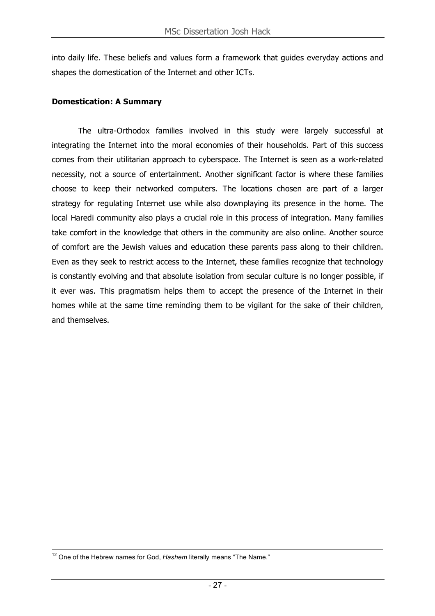into daily life. These beliefs and values form a framework that guides everyday actions and shapes the domestication of the Internet and other ICTs.

#### **Domestication: A Summary**

The ultra-Orthodox families involved in this study were largely successful at integrating the Internet into the moral economies of their households. Part of this success comes from their utilitarian approach to cyberspace. The Internet is seen as a work-related necessity, not a source of entertainment. Another significant factor is where these families choose to keep their networked computers. The locations chosen are part of a larger strategy for regulating Internet use while also downplaying its presence in the home. The local Haredi community also plays a crucial role in this process of integration. Many families take comfort in the knowledge that others in the community are also online. Another source of comfort are the Jewish values and education these parents pass along to their children. Even as they seek to restrict access to the Internet, these families recognize that technology is constantly evolving and that absolute isolation from secular culture is no longer possible, if it ever was. This pragmatism helps them to accept the presence of the Internet in their homes while at the same time reminding them to be vigilant for the sake of their children, and themselves.

<sup>&</sup>lt;sup>12</sup> One of the Hebrew names for God, Hashem literally means "The Name."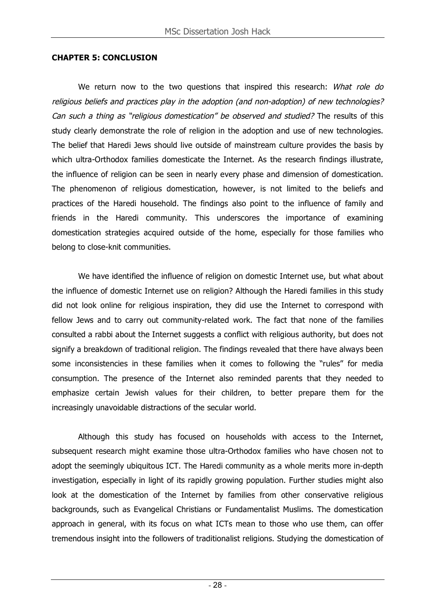#### **CHAPTER 5: CONCLUSION**

We return now to the two questions that inspired this research: What role do religious beliefs and practices play in the adoption (and non-adoption) of new technologies? Can such <sup>a</sup> thing as "religious domestication" be observed and studied? The results of this study clearly demonstrate the role of religion in the adoption and use of new technologies. The belief that Haredi Jews should live outside of mainstream culture provides the basis by which ultra-Orthodox families domesticate the Internet. As the research findings illustrate, the influence of religion can be seen in nearly every phase and dimension of domestication. The phenomenon of religious domestication, however, is not limited to the beliefs and practices of the Haredi household. The findings also point to the influence of family and friends in the Haredi community. This underscores the importance of examining domestication strategies acquired outside of the home, especially for those families who belong to close-knit communities.

We have identified the influence of religion on domestic Internet use, but what about the influence of domestic Internet use on religion? Although the Haredi families in this study did not look online for religious inspiration, they did use the Internet to correspond with fellow Jews and to carry out community-related work. The fact that none of the families consulted a rabbi about the Internet suggests a conflict with religious authority, but does not signify a breakdown of traditional religion. The findings revealed that there have always been some inconsistencies in these families when it comes to following the "rules" for media consumption. The presence of the Internet also reminded parents that they needed to emphasize certain Jewish values for their children, to better prepare them for the increasingly unavoidable distractions of the secular world.

Although this study has focused on households with access to the Internet, subsequent research might examine those ultra-Orthodox families who have chosen not to adopt the seemingly ubiquitous ICT. The Haredi community as a whole merits more in-depth investigation, especially in light of its rapidly growing population. Further studies might also look at the domestication of the Internet by families from other conservative religious backgrounds, such as Evangelical Christians or Fundamentalist Muslims. The domestication approach in general, with its focus on what ICTs mean to those who use them, can offer tremendous insight into the followers of traditionalist religions. Studying the domestication of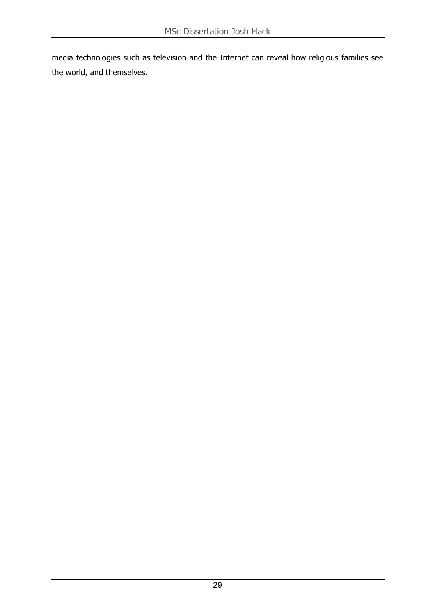media technologies such as television and the Internet can reveal how religious families see the world, and themselves.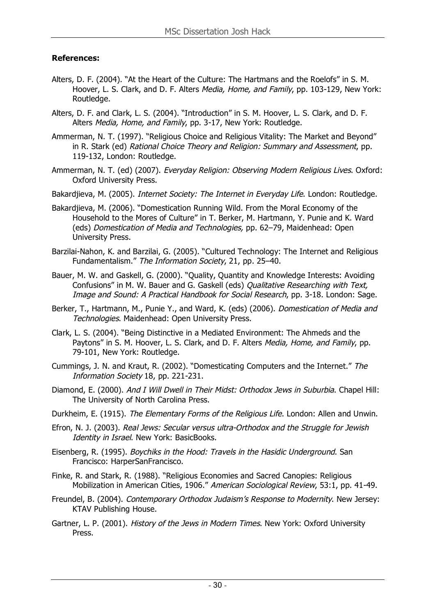## **References:**

- Alters, D. F. (2004). "At the Heart of the Culture: The Hartmans and the Roelofs" in S. M. Hoover, L. S. Clark, and D. F. Alters Media, Home, and Family, pp. 103-129, New York: Routledge.
- Alters, D. F. and Clark, L. S. (2004). "Introduction" in S. M. Hoover, L. S. Clark, and D. F. Alters Media, Home, and Family, pp. 3-17, New York: Routledge.
- Ammerman, N. T. (1997). "Religious Choice and Religious Vitality: The Market and Beyond" in R. Stark (ed) Rational Choice Theory and Religion: Summary and Assessment, pp. 119-132, London: Routledge.
- Ammerman, N. T. (ed) (2007). Everyday Religion: Observing Modern Religious Lives. Oxford: Oxford University Press.
- Bakardjieva, M. (2005). Internet Society: The Internet in Everyday Life. London: Routledge.
- Bakardjieva, M. (2006). "Domestication Running Wild. From the Moral Economy of the Household to the Mores of Culture" in T. Berker, M. Hartmann, Y. Punie and K. Ward (eds) Domestication of Media and Technologies, pp. 62–79, Maidenhead: Open University Press.
- Barzilai-Nahon, K. and Barzilai, G. (2005). "Cultured Technology: The Internet and Religious Fundamentalism." The Information Society, 21, pp. 25–40.
- Bauer, M. W. and Gaskell, G. (2000). "Quality, Quantity and Knowledge Interests: Avoiding Confusions" in M. W. Bauer and G. Gaskell (eds) Qualitative Researching with Text, Image and Sound: A Practical Handbook for Social Research, pp. 3-18. London: Sage.
- Berker, T., Hartmann, M., Punie Y., and Ward, K. (eds) (2006). Domestication of Media and Technologies. Maidenhead: Open University Press.
- Clark, L. S. (2004). "Being Distinctive in a Mediated Environment: The Ahmeds and the Paytons" in S. M. Hoover, L. S. Clark, and D. F. Alters Media, Home, and Family, pp. 79-101, New York: Routledge.
- Cummings, J. N. and Kraut, R. (2002). "Domesticating Computers and the Internet." The Information Society 18, pp. 221-231.
- Diamond, E. (2000). And I Will Dwell in Their Midst: Orthodox Jews in Suburbia. Chapel Hill: The University of North Carolina Press.
- Durkheim, E. (1915). The Elementary Forms of the Religious Life. London: Allen and Unwin.
- Efron, N. J. (2003). Real Jews: Secular versus ultra-Orthodox and the Struggle for Jewish Identity in Israel. New York: BasicBooks.
- Eisenberg, R. (1995). Boychiks in the Hood: Travels in the Hasidic Underground. San Francisco: HarperSanFrancisco.
- Finke, R. and Stark, R. (1988). "Religious Economies and Sacred Canopies: Religious Mobilization in American Cities, 1906." American Sociological Review, 53:1, pp. 41-49.
- Freundel, B. (2004). Contemporary Orthodox Judaism's Response to Modernity. New Jersey: KTAV Publishing House.
- Gartner, L. P. (2001). History of the Jews in Modern Times. New York: Oxford University Press.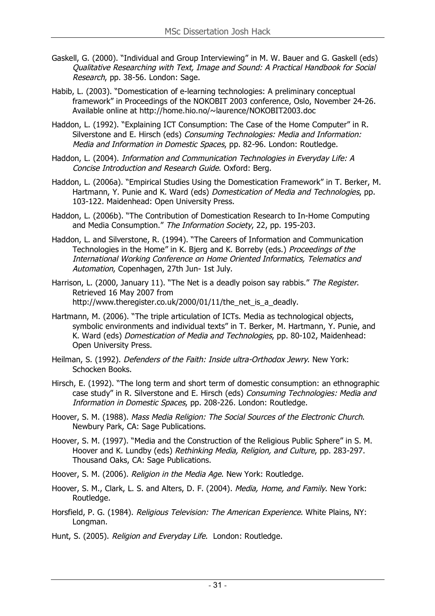- Gaskell, G. (2000). "Individual and Group Interviewing" in M. W. Bauer and G. Gaskell (eds) Qualitative Researching with Text, Image and Sound: A Practical Handbook for Social Research, pp. 38-56. London: Sage.
- Habib, L. (2003). "Domestication of e-learning technologies: A preliminary conceptual framework" in Proceedings of the NOKOBIT 2003 conference, Oslo, November 24-26. Available online at http://home.hio.no/~laurence/NOKOBIT2003.doc
- Haddon, L. (1992). "Explaining ICT Consumption: The Case of the Home Computer" in R. Silverstone and E. Hirsch (eds) Consuming Technologies: Media and Information: Media and Information in Domestic Spaces, pp. 82-96. London: Routledge.
- Haddon, L. (2004). Information and Communication Technologies in Everyday Life: A Concise Introduction and Research Guide. Oxford: Berg.
- Haddon, L. (2006a). "Empirical Studies Using the Domestication Framework" in T. Berker, M. Hartmann, Y. Punie and K. Ward (eds) Domestication of Media and Technologies, pp. 103-122. Maidenhead: Open University Press.
- Haddon, L. (2006b). "The Contribution of Domestication Research to In-Home Computing and Media Consumption." The Information Society, 22, pp. 195-203.
- Haddon, L. and Silverstone, R. (1994). "The Careers of Information and Communication Technologies in the Home" in K. Bjerg and K. Borreby (eds.) Proceedings of the International Working Conference on Home Oriented Informatics, Telematics and Automation, Copenhagen, 27th Jun- 1st July.
- Harrison, L. (2000, January 11). "The Net is a deadly poison say rabbis." The Register. Retrieved 16 May 2007 from http://www.theregister.co.uk/2000/01/11/the\_net\_is\_a\_deadly.
- Hartmann, M. (2006). "The triple articulation of ICTs. Media as technological objects, symbolic environments and individual texts" in T. Berker, M. Hartmann, Y. Punie, and K. Ward (eds) Domestication of Media and Technologies, pp. 80-102, Maidenhead: Open University Press.
- Heilman, S. (1992). *Defenders of the Faith: Inside ultra-Orthodox Jewry*. New York: Schocken Books.
- Hirsch, E. (1992). "The long term and short term of domestic consumption: an ethnographic case study" in R. Silverstone and E. Hirsch (eds) Consuming Technologies: Media and Information in Domestic Spaces, pp. 208-226. London: Routledge.
- Hoover, S. M. (1988). Mass Media Religion: The Social Sources of the Electronic Church. Newbury Park, CA: Sage Publications.
- Hoover, S. M. (1997). "Media and the Construction of the Religious Public Sphere" in S. M. Hoover and K. Lundby (eds) Rethinking Media, Religion, and Culture, pp. 283-297. Thousand Oaks, CA: Sage Publications.
- Hoover, S. M. (2006). Religion in the Media Age. New York: Routledge.
- Hoover, S. M., Clark, L. S. and Alters, D. F. (2004). *Media, Home, and Family*. New York: Routledge.
- Horsfield, P. G. (1984). Religious Television: The American Experience. White Plains, NY: Longman.
- Hunt, S. (2005). Religion and Everyday Life. London: Routledge.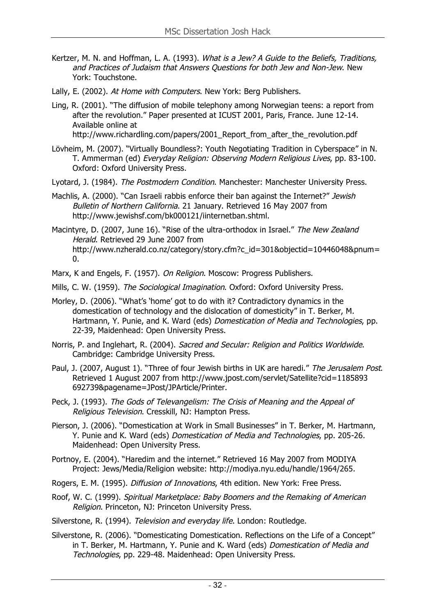- Kertzer, M. N. and Hoffman, L. A. (1993). What is a Jew? A Guide to the Beliefs, Traditions, and Practices of Judaism that Answers Questions for both Jew and Non-Jew. New York: Touchstone.
- Lally, E. (2002). At Home with Computers. New York: Berg Publishers.
- Ling, R. (2001). "The diffusion of mobile telephony among Norwegian teens: a report from after the revolution." Paper presented at ICUST 2001, Paris, France. June 12-14. Available online at http://www.richardling.com/papers/2001\_Report\_from\_after\_the\_revolution.pdf
	-
- Lövheim, M. (2007). "Virtually Boundless?: Youth Negotiating Tradition in Cyberspace" in N. T. Ammerman (ed) Everyday Religion: Observing Modern Religious Lives, pp. 83-100. Oxford: Oxford University Press.
- Lyotard, J. (1984). The Postmodern Condition. Manchester: Manchester University Press.
- Machlis, A. (2000). "Can Israeli rabbis enforce their ban against the Internet?" Jewish Bulletin of Northern California. 21 January. Retrieved 16 May 2007 from http://www.jewishsf.com/bk000121/iinternetban.shtml.
- Macintyre, D. (2007, June 16). "Rise of the ultra-orthodox in Israel." The New Zealand Herald. Retrieved 29 June 2007 from http://www.nzherald.co.nz/category/story.cfm?c\_id=301&objectid=10446048&pnum=  $\mathbf{0}$ .
- Marx, K and Engels, F. (1957). On Religion. Moscow: Progress Publishers.
- Mills, C. W. (1959). The Sociological Imagination. Oxford: Oxford University Press.
- Morley, D. (2006). "What's 'home' got to do with it? Contradictory dynamics in the domestication of technology and the dislocation of domesticity" in T. Berker, M. Hartmann, Y. Punie, and K. Ward (eds) Domestication of Media and Technologies, pp. 22-39, Maidenhead: Open University Press.
- Norris, P. and Inglehart, R. (2004). Sacred and Secular: Religion and Politics Worldwide. Cambridge: Cambridge University Press.
- Paul, J. (2007, August 1). "Three of four Jewish births in UK are haredi." The Jerusalem Post. Retrieved 1 August 2007 from http://www.jpost.com/servlet/Satellite?cid=1185893 692739&pagename=JPost/JPArticle/Printer.
- Peck, J. (1993). The Gods of Televangelism: The Crisis of Meaning and the Appeal of Religious Television. Cresskill, NJ: Hampton Press.
- Pierson, J. (2006). "Domestication at Work in Small Businesses" in T. Berker, M. Hartmann, Y. Punie and K. Ward (eds) Domestication of Media and Technologies, pp. 205-26. Maidenhead: Open University Press.
- Portnoy, E. (2004). "Haredim and the internet." Retrieved 16 May 2007 from MODIYA Project: Jews/Media/Religion website: http://modiya.nyu.edu/handle/1964/265.
- Rogers, E. M. (1995). *Diffusion of Innovations*, 4th edition. New York: Free Press.
- Roof, W. C. (1999). Spiritual Marketplace: Baby Boomers and the Remaking of American Religion. Princeton, NJ: Princeton University Press.
- Silverstone, R. (1994). Television and everyday life. London: Routledge.
- Silverstone, R. (2006). "Domesticating Domestication. Reflections on the Life of a Concept" in T. Berker, M. Hartmann, Y. Punie and K. Ward (eds) Domestication of Media and Technologies, pp. 229-48. Maidenhead: Open University Press.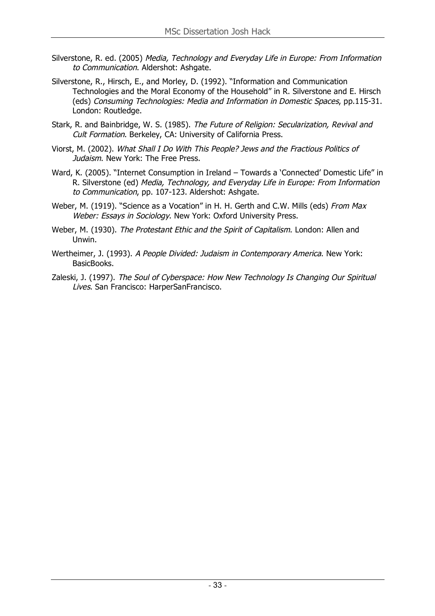- Silverstone, R. ed. (2005) Media, Technology and Everyday Life in Europe: From Information to Communication. Aldershot: Ashgate.
- Silverstone, R., Hirsch, E., and Morley, D. (1992). "Information and Communication Technologies and the Moral Economy of the Household" in R. Silverstone and E. Hirsch (eds) Consuming Technologies: Media and Information in Domestic Spaces, pp.115-31. London: Routledge.
- Stark, R. and Bainbridge, W. S. (1985). The Future of Religion: Secularization, Revival and Cult Formation. Berkeley, CA: University of California Press.
- Viorst, M. (2002). What Shall I Do With This People? Jews and the Fractious Politics of Judaism. New York: The Free Press.
- Ward, K. (2005). "Internet Consumption in Ireland Towards a 'Connected' Domestic Life" in R. Silverstone (ed) Media, Technology, and Everyday Life in Europe: From Information to Communication, pp. 107-123. Aldershot: Ashgate.
- Weber, M. (1919). "Science as a Vocation" in H. H. Gerth and C.W. Mills (eds) From Max Weber: Essays in Sociology. New York: Oxford University Press.
- Weber, M. (1930). The Protestant Ethic and the Spirit of Capitalism. London: Allen and Unwin.
- Wertheimer, J. (1993). A People Divided: Judaism in Contemporary America. New York: BasicBooks.
- Zaleski, J. (1997). The Soul of Cyberspace: How New Technology Is Changing Our Spiritual Lives. San Francisco: HarperSanFrancisco.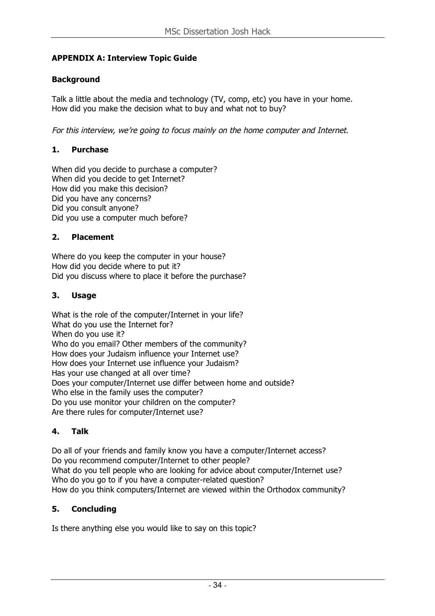## **APPENDIX A: Interview Topic Guide**

## **Background**

Talk a little about the media and technology (TV, comp, etc) you have in your home. How did you make the decision what to buy and what not to buy?

For this interview, we're going to focus mainly on the home computer and Internet.

## **1. Purchase**

When did you decide to purchase a computer? When did you decide to get Internet? How did you make this decision? Did you have any concerns? Did you consult anyone? Did you use a computer much before?

## **2. Placement**

Where do you keep the computer in your house? How did you decide where to put it? Did you discuss where to place it before the purchase?

## **3. Usage**

What is the role of the computer/Internet in your life? What do you use the Internet for? When do you use it? Who do you email? Other members of the community? How does your Judaism influence your Internet use? How does your Internet use influence your Judaism? Has your use changed at all over time? Does your computer/Internet use differ between home and outside? Who else in the family uses the computer? Do you use monitor your children on the computer? Are there rules for computer/Internet use?

## **4. Talk**

Do all of your friends and family know you have a computer/Internet access? Do you recommend computer/Internet to other people? What do you tell people who are looking for advice about computer/Internet use? Who do you go to if you have a computer-related question? How do you think computers/Internet are viewed within the Orthodox community?

## **5. Concluding**

Is there anything else you would like to say on this topic?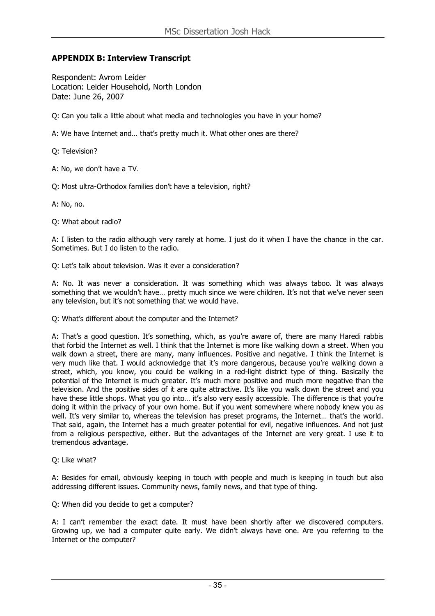#### **APPENDIX B: Interview Transcript**

Respondent: Avrom Leider Location: Leider Household, North London Date: June 26, 2007

Q: Can you talk a little about what media and technologies you have in your home?

A: We have Internet and… that's pretty much it. What other ones are there?

Q: Television?

A: No, we don't have a TV.

Q: Most ultra-Orthodox families don't have a television, right?

A: No, no.

Q: What about radio?

A: I listen to the radio although very rarely at home. I just do it when I have the chance in the car. Sometimes. But I do listen to the radio.

Q: Let's talk about television. Was it ever a consideration?

A: No. It was never a consideration. It was something which was always taboo. It was always something that we wouldn't have... pretty much since we were children. It's not that we've never seen any television, but it's not something that we would have.

Q: What's different about the computer and the Internet?

A: That's a good question. It's something, which, as you're aware of, there are many Haredi rabbis that forbid the Internet as well. I think that the Internet is more like walking down a street. When you walk down a street, there are many, many influences. Positive and negative. I think the Internet is very much like that. I would acknowledge that it's more dangerous, because you're walking down a street, which, you know, you could be walking in a red-light district type of thing. Basically the potential of the Internet is much greater. It's much more positive and much more negative than the television. And the positive sides of it are quite attractive. It's like you walk down the street and you have these little shops. What you go into... it's also very easily accessible. The difference is that you're doing it within the privacy of your own home. But if you went somewhere where nobody knew you as well. It's very similar to, whereas the television has preset programs, the Internet… that's the world. That said, again, the Internet has a much greater potential for evil, negative influences. And not just from a religious perspective, either. But the advantages of the Internet are very great. I use it to tremendous advantage.

Q: Like what?

A: Besides for email, obviously keeping in touch with people and much is keeping in touch but also addressing different issues. Community news, family news, and that type of thing.

Q: When did you decide to get a computer?

A: I can't remember the exact date. It must have been shortly after we discovered computers. Growing up, we had a computer quite early. We didn't always have one. Are you referring to the Internet or the computer?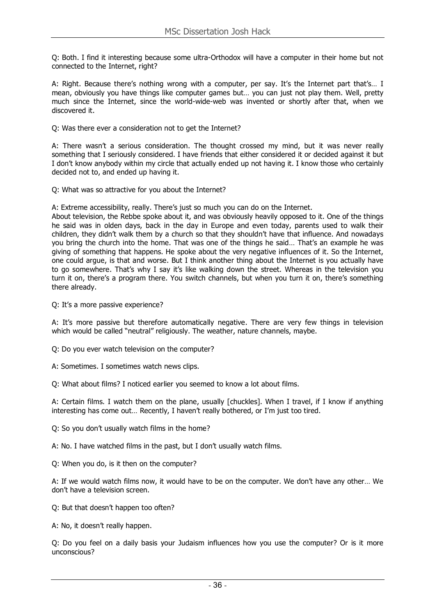Q: Both. I find it interesting because some ultra-Orthodox will have a computer in their home but not connected to the Internet, right?

A: Right. Because there's nothing wrong with a computer, per say. It's the Internet part that's… I mean, obviously you have things like computer games but… you can just not play them. Well, pretty much since the Internet, since the world-wide-web was invented or shortly after that, when we discovered it.

Q: Was there ever a consideration not to get the Internet?

A: There wasn't a serious consideration. The thought crossed my mind, but it was never really something that I seriously considered. I have friends that either considered it or decided against it but I don't know anybody within my circle that actually ended up not having it. I know those who certainly decided not to, and ended up having it.

Q: What was so attractive for you about the Internet?

A: Extreme accessibility, really. There's just so much you can do on the Internet.

About television, the Rebbe spoke about it, and was obviously heavily opposed to it. One of the things he said was in olden days, back in the day in Europe and even today, parents used to walk their children, they didn't walk them by a church so that they shouldn't have that influence. And nowadays you bring the church into the home. That was one of the things he said… That's an example he was giving of something that happens. He spoke about the very negative influences of it. So the Internet, one could argue, is that and worse. But I think another thing about the Internet is you actually have to go somewhere. That's why I say it's like walking down the street. Whereas in the television you turn it on, there's a program there. You switch channels, but when you turn it on, there's something there already.

Q: It's a more passive experience?

A: It's more passive but therefore automatically negative. There are very few things in television which would be called "neutral" religiously. The weather, nature channels, maybe.

- Q: Do you ever watch television on the computer?
- A: Sometimes. I sometimes watch news clips.

Q: What about films? I noticed earlier you seemed to know a lot about films.

A: Certain films. I watch them on the plane, usually [chuckles]. When I travel, if I know if anything interesting has come out… Recently, I haven't really bothered, or I'm just too tired.

Q: So you don't usually watch films in the home?

A: No. I have watched films in the past, but I don't usually watch films.

Q: When you do, is it then on the computer?

A: If we would watch films now, it would have to be on the computer. We don't have any other… We don't have a television screen.

- Q: But that doesn't happen too often?
- A: No, it doesn't really happen.

Q: Do you feel on a daily basis your Judaism influences how you use the computer? Or is it more unconscious?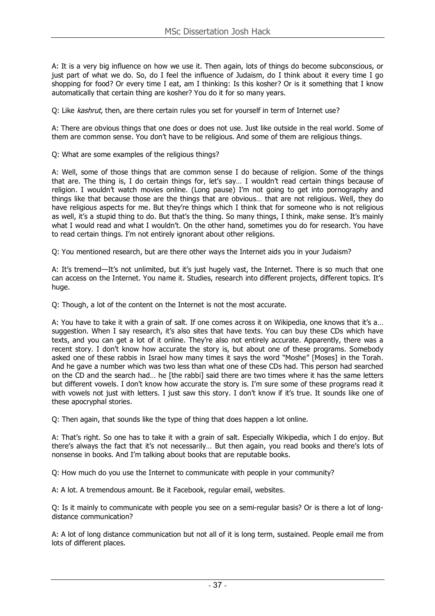A: It is a very big influence on how we use it. Then again, lots of things do become subconscious, or just part of what we do. So, do I feel the influence of Judaism, do I think about it every time I go shopping for food? Or every time I eat, am I thinking: Is this kosher? Or is it something that I know automatically that certain thing are kosher? You do it for so many years.

Q: Like kashrut, then, are there certain rules you set for yourself in term of Internet use?

A: There are obvious things that one does or does not use. Just like outside in the real world. Some of them are common sense. You don't have to be religious. And some of them are religious things.

Q: What are some examples of the religious things?

A: Well, some of those things that are common sense I do because of religion. Some of the things that are. The thing is, I do certain things for, let's say… I wouldn't read certain things because of religion. I wouldn't watch movies online. (Long pause) I'm not going to get into pornography and things like that because those are the things that are obvious… that are not religious. Well, they do have religious aspects for me. But they're things which I think that for someone who is not religious as well, it's a stupid thing to do. But that's the thing. So many things, I think, make sense. It's mainly what I would read and what I wouldn't. On the other hand, sometimes you do for research. You have to read certain things. I'm not entirely ignorant about other religions.

Q: You mentioned research, but are there other ways the Internet aids you in your Judaism?

A: It's tremend—It's not unlimited, but it's just hugely vast, the Internet. There is so much that one can access on the Internet. You name it. Studies, research into different projects, different topics. It's huge.

Q: Though, a lot of the content on the Internet is not the most accurate.

A: You have to take it with a grain of salt. If one comes across it on Wikipedia, one knows that it's a… suggestion. When I say research, it's also sites that have texts. You can buy these CDs which have texts, and you can get a lot of it online. They're also not entirely accurate. Apparently, there was a recent story. I don't know how accurate the story is, but about one of these programs. Somebody asked one of these rabbis in Israel how many times it says the word "Moshe" [Moses] in the Torah. And he gave a number which was two less than what one of these CDs had. This person had searched on the CD and the search had… he [the rabbi] said there are two times where it has the same letters but different vowels. I don't know how accurate the story is. I'm sure some of these programs read it with vowels not just with letters. I just saw this story. I don't know if it's true. It sounds like one of these apocryphal stories.

Q: Then again, that sounds like the type of thing that does happen a lot online.

A: That's right. So one has to take it with a grain of salt. Especially Wikipedia, which I do enjoy. But there's always the fact that it's not necessarily… But then again, you read books and there's lots of nonsense in books. And I'm talking about books that are reputable books.

Q: How much do you use the Internet to communicate with people in your community?

A: A lot. A tremendous amount. Be it Facebook, regular email, websites.

Q: Is it mainly to communicate with people you see on a semi-regular basis? Or is there a lot of longdistance communication?

A: A lot of long distance communication but not all of it is long term, sustained. People email me from lots of different places.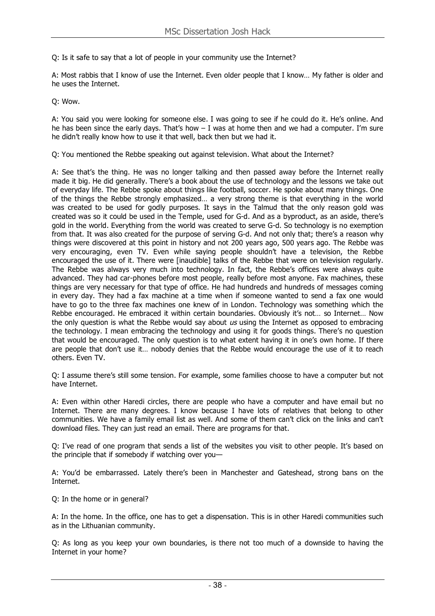Q: Is it safe to say that a lot of people in your community use the Internet?

A: Most rabbis that I know of use the Internet. Even older people that I know… My father is older and he uses the Internet.

Q: Wow.

A: You said you were looking for someone else. I was going to see if he could do it. He's online. And he has been since the early days. That's how  $-$  I was at home then and we had a computer. I'm sure he didn't really know how to use it that well, back then but we had it.

Q: You mentioned the Rebbe speaking out against television. What about the Internet?

A: See that's the thing. He was no longer talking and then passed away before the Internet really made it big. He did generally. There's a book about the use of technology and the lessons we take out of everyday life. The Rebbe spoke about things like football, soccer. He spoke about many things. One of the things the Rebbe strongly emphasized… a very strong theme is that everything in the world was created to be used for godly purposes. It says in the Talmud that the only reason gold was created was so it could be used in the Temple, used for G-d. And as a byproduct, as an aside, there's gold in the world. Everything from the world was created to serve G-d. So technology is no exemption from that. It was also created for the purpose of serving G-d. And not only that; there's a reason why things were discovered at this point in history and not 200 years ago, 500 years ago. The Rebbe was very encouraging, even TV. Even while saying people shouldn't have a television, the Rebbe encouraged the use of it. There were [inaudible] talks of the Rebbe that were on television regularly. The Rebbe was always very much into technology. In fact, the Rebbe's offices were always quite advanced. They had car-phones before most people, really before most anyone. Fax machines, these things are very necessary for that type of office. He had hundreds and hundreds of messages coming in every day. They had a fax machine at a time when if someone wanted to send a fax one would have to go to the three fax machines one knew of in London. Technology was something which the Rebbe encouraged. He embraced it within certain boundaries. Obviously it's not… so Internet… Now the only question is what the Rebbe would say about  $us$  using the Internet as opposed to embracing the technology. I mean embracing the technology and using it for goods things. There's no question that would be encouraged. The only question is to what extent having it in one's own home. If there are people that don't use it… nobody denies that the Rebbe would encourage the use of it to reach others. Even TV.

Q: I assume there's still some tension. For example, some families choose to have a computer but not have Internet.

A: Even within other Haredi circles, there are people who have a computer and have email but no Internet. There are many degrees. I know because I have lots of relatives that belong to other communities. We have a family email list as well. And some of them can't click on the links and can't download files. They can just read an email. There are programs for that.

Q: I've read of one program that sends a list of the websites you visit to other people. It's based on the principle that if somebody if watching over you—

A: You'd be embarrassed. Lately there's been in Manchester and Gateshead, strong bans on the Internet.

Q: In the home or in general?

A: In the home. In the office, one has to get a dispensation. This is in other Haredi communities such as in the Lithuanian community.

Q: As long as you keep your own boundaries, is there not too much of a downside to having the Internet in your home?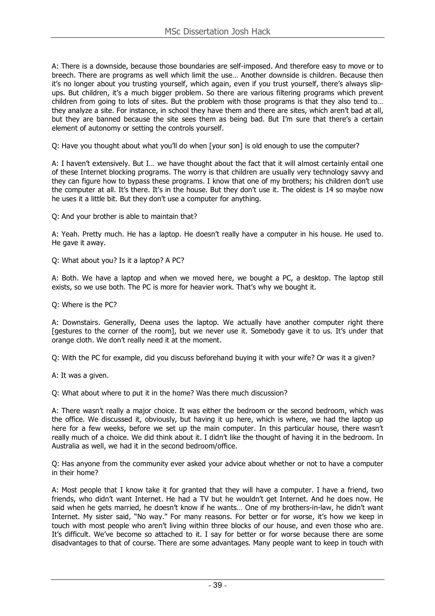A: There is a downside, because those boundaries are self-imposed. And therefore easy to move or to breech. There are programs as well which limit the use… Another downside is children. Because then it's no longer about you trusting yourself, which again, even if you trust yourself, there's always slipups. But children, it's a much bigger problem. So there are various filtering programs which prevent children from going to lots of sites. But the problem with those programs is that they also tend to… they analyze a site. For instance, in school they have them and there are sites, which aren't bad at all, but they are banned because the site sees them as being bad. But I'm sure that there's a certain element of autonomy or setting the controls yourself.

Q: Have you thought about what you'll do when [your son] is old enough to use the computer?

A: I haven't extensively. But I… we have thought about the fact that it will almost certainly entail one of these Internet blocking programs. The worry is that children are usually very technology savvy and they can figure how to bypass these programs. I know that one of my brothers; his children don't use the computer at all. It's there. It's in the house. But they don't use it. The oldest is 14 so maybe now he uses it a little bit. But they don't use a computer for anything.

Q: And your brother is able to maintain that?

A: Yeah. Pretty much. He has a laptop. He doesn't really have a computer in his house. He used to. He gave it away.

Q: What about you? Is it a laptop? A PC?

A: Both. We have a laptop and when we moved here, we bought a PC, a desktop. The laptop still exists, so we use both. The PC is more for heavier work. That's why we bought it.

Q: Where is the PC?

A: Downstairs. Generally, Deena uses the laptop. We actually have another computer right there [gestures to the corner of the room], but we never use it. Somebody gave it to us. It's under that orange cloth. We don't really need it at the moment.

Q: With the PC for example, did you discuss beforehand buying it with your wife? Or was it a given?

A: It was a given.

Q: What about where to put it in the home? Was there much discussion?

A: There wasn't really a major choice. It was either the bedroom or the second bedroom, which was the office. We discussed it, obviously, but having it up here, which is where, we had the laptop up here for a few weeks, before we set up the main computer. In this particular house, there wasn't really much of a choice. We did think about it. I didn't like the thought of having it in the bedroom. In Australia as well, we had it in the second bedroom/office.

Q: Has anyone from the community ever asked your advice about whether or not to have a computer in their home?

A: Most people that I know take it for granted that they will have a computer. I have a friend, two friends, who didn't want Internet. He had a TV but he wouldn't get Internet. And he does now. He said when he gets married, he doesn't know if he wants… One of my brothers-in-law, he didn't want Internet. My sister said, "No way." For many reasons. For better or for worse, it's how we keep in touch with most people who aren't living within three blocks of our house, and even those who are. It's difficult. We've become so attached to it. I say for better or for worse because there are some disadvantages to that of course. There are some advantages. Many people want to keep in touch with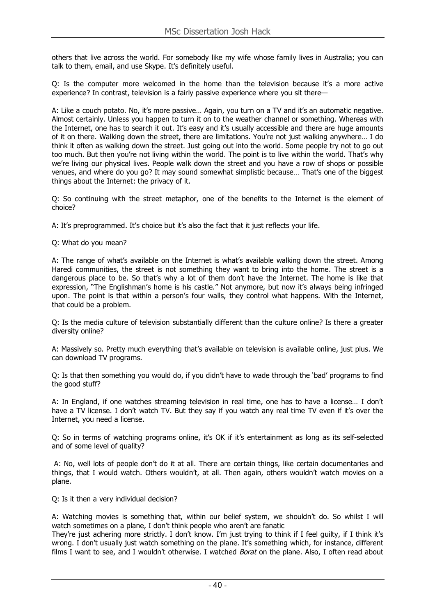others that live across the world. For somebody like my wife whose family lives in Australia; you can talk to them, email, and use Skype. It's definitely useful.

Q: Is the computer more welcomed in the home than the television because it's a more active experience? In contrast, television is a fairly passive experience where you sit there—

A: Like a couch potato. No, it's more passive… Again, you turn on a TV and it's an automatic negative. Almost certainly. Unless you happen to turn it on to the weather channel or something. Whereas with the Internet, one has to search it out. It's easy and it's usually accessible and there are huge amounts of it on there. Walking down the street, there are limitations. You're not just walking anywhere… I do think it often as walking down the street. Just going out into the world. Some people try not to go out too much. But then you're not living within the world. The point is to live within the world. That's why we're living our physical lives. People walk down the street and you have a row of shops or possible venues, and where do you go? It may sound somewhat simplistic because… That's one of the biggest things about the Internet: the privacy of it.

Q: So continuing with the street metaphor, one of the benefits to the Internet is the element of choice?

A: It's preprogrammed. It's choice but it's also the fact that it just reflects your life.

Q: What do you mean?

A: The range of what's available on the Internet is what's available walking down the street. Among Haredi communities, the street is not something they want to bring into the home. The street is a dangerous place to be. So that's why a lot of them don't have the Internet. The home is like that expression, "The Englishman's home is his castle." Not anymore, but now it's always being infringed upon. The point is that within a person's four walls, they control what happens. With the Internet, that could be a problem.

Q: Is the media culture of television substantially different than the culture online? Is there a greater diversity online?

A: Massively so. Pretty much everything that's available on television is available online, just plus. We can download TV programs.

Q: Is that then something you would do, if you didn't have to wade through the 'bad' programs to find the good stuff?

A: In England, if one watches streaming television in real time, one has to have a license… I don't have a TV license. I don't watch TV. But they say if you watch any real time TV even if it's over the Internet, you need a license.

Q: So in terms of watching programs online, it's OK if it's entertainment as long as its self-selected and of some level of quality?

A: No, well lots of people don't do it at all. There are certain things, like certain documentaries and things, that I would watch. Others wouldn't, at all. Then again, others wouldn't watch movies on a plane.

Q: Is it then a very individual decision?

A: Watching movies is something that, within our belief system, we shouldn't do. So whilst I will watch sometimes on a plane, I don't think people who aren't are fanatic

They're just adhering more strictly. I don't know. I'm just trying to think if I feel guilty, if I think it's wrong. I don't usually just watch something on the plane. It's something which, for instance, different films I want to see, and I wouldn't otherwise. I watched *Borat* on the plane. Also, I often read about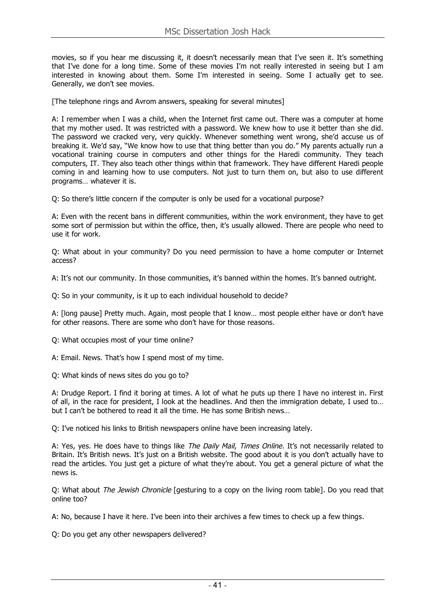movies, so if you hear me discussing it, it doesn't necessarily mean that I've seen it. It's something that I've done for a long time. Some of these movies I'm not really interested in seeing but I am interested in knowing about them. Some I'm interested in seeing. Some I actually get to see. Generally, we don't see movies.

[The telephone rings and Avrom answers, speaking for several minutes]

A: I remember when I was a child, when the Internet first came out. There was a computer at home that my mother used. It was restricted with a password. We knew how to use it better than she did. The password we cracked very, very quickly. Whenever something went wrong, she'd accuse us of breaking it. We'd say, "We know how to use that thing better than you do." My parents actually run a vocational training course in computers and other things for the Haredi community. They teach computers, IT. They also teach other things within that framework. They have different Haredi people coming in and learning how to use computers. Not just to turn them on, but also to use different programs… whatever it is.

Q: So there's little concern if the computer is only be used for a vocational purpose?

A: Even with the recent bans in different communities, within the work environment, they have to get some sort of permission but within the office, then, it's usually allowed. There are people who need to use it for work.

Q: What about in your community? Do you need permission to have a home computer or Internet access?

A: It's not our community. In those communities, it's banned within the homes. It's banned outright.

Q: So in your community, is it up to each individual household to decide?

A: [long pause] Pretty much. Again, most people that I know… most people either have or don't have for other reasons. There are some who don't have for those reasons.

Q: What occupies most of your time online?

A: Email. News. That's how I spend most of my time.

Q: What kinds of news sites do you go to?

A: Drudge Report. I find it boring at times. A lot of what he puts up there I have no interest in. First of all, in the race for president, I look at the headlines. And then the immigration debate, I used to... but I can't be bothered to read it all the time. He has some British news…

Q: I've noticed his links to British newspapers online have been increasing lately.

A: Yes, yes. He does have to things like The Daily Mail, Times Online. It's not necessarily related to Britain. It's British news. It's just on a British website. The good about it is you don't actually have to read the articles. You just get a picture of what they're about. You get a general picture of what the news is.

Q: What about The Jewish Chronicle [gesturing to a copy on the living room table]. Do you read that online too?

A: No, because I have it here. I've been into their archives a few times to check up a few things.

Q: Do you get any other newspapers delivered?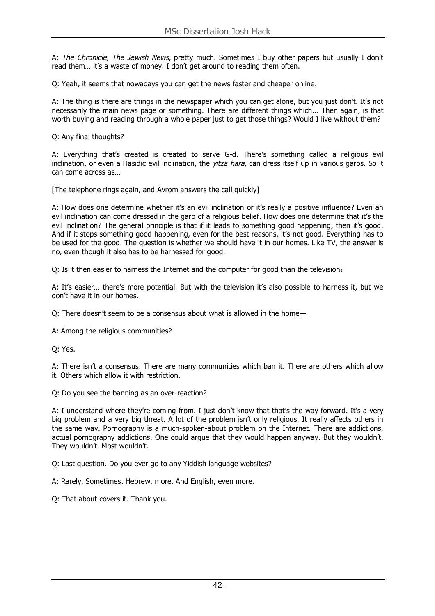A: The Chronicle, The Jewish News, pretty much. Sometimes I buy other papers but usually I don't read them… it's a waste of money. I don't get around to reading them often.

Q: Yeah, it seems that nowadays you can get the news faster and cheaper online.

A: The thing is there are things in the newspaper which you can get alone, but you just don't. It's not necessarily the main news page or something. There are different things which... Then again, is that worth buying and reading through a whole paper just to get those things? Would I live without them?

Q: Any final thoughts?

A: Everything that's created is created to serve G-d. There's something called a religious evil inclination, or even a Hasidic evil inclination, the *yitza hara*, can dress itself up in various garbs. So it can come across as…

[The telephone rings again, and Avrom answers the call quickly]

A: How does one determine whether it's an evil inclination or it's really a positive influence? Even an evil inclination can come dressed in the garb of a religious belief. How does one determine that it's the evil inclination? The general principle is that if it leads to something good happening, then it's good. And if it stops something good happening, even for the best reasons, it's not good. Everything has to be used for the good. The question is whether we should have it in our homes. Like TV, the answer is no, even though it also has to be harnessed for good.

Q: Is it then easier to harness the Internet and the computer for good than the television?

A: It's easier… there's more potential. But with the television it's also possible to harness it, but we don't have it in our homes.

Q: There doesn't seem to be a consensus about what is allowed in the home—

A: Among the religious communities?

Q: Yes.

A: There isn't a consensus. There are many communities which ban it. There are others which allow it. Others which allow it with restriction.

Q: Do you see the banning as an over-reaction?

A: I understand where they're coming from. I just don't know that that's the way forward. It's a very big problem and a very big threat. A lot of the problem isn't only religious. It really affects others in the same way. Pornography is a much-spoken-about problem on the Internet. There are addictions, actual pornography addictions. One could argue that they would happen anyway. But they wouldn't. They wouldn't. Most wouldn't.

Q: Last question. Do you ever go to any Yiddish language websites?

A: Rarely. Sometimes. Hebrew, more. And English, even more.

Q: That about covers it. Thank you.